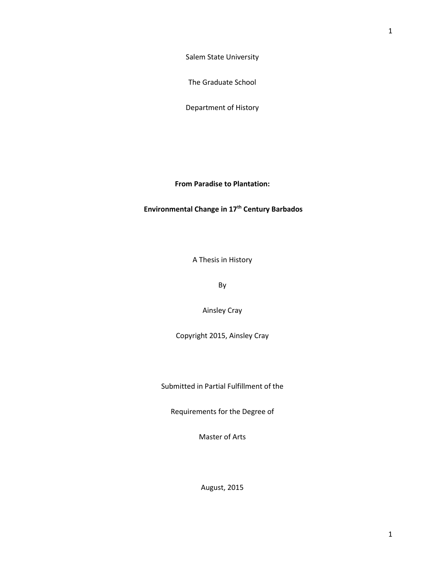Salem State University

The Graduate School

Department of History

**From Paradise to Plantation:**

**Environmental Change in 17th Century Barbados**

A Thesis in History

By

Ainsley Cray

Copyright 2015, Ainsley Cray

Submitted in Partial Fulfillment of the

Requirements for the Degree of

Master of Arts

August, 2015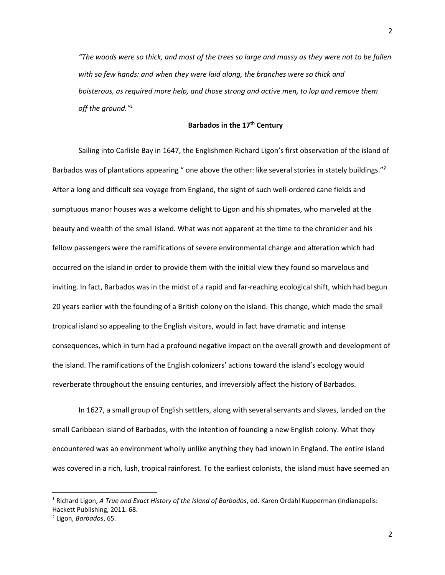*"The woods were so thick, and most of the trees so large and massy as they were not to be fallen with so few hands: and when they were laid along, the branches were so thick and boisterous, as required more help, and those strong and active men, to lop and remove them off the ground."<sup>1</sup>*

# **Barbados in the 17th Century**

Sailing into Carlisle Bay in 1647, the Englishmen Richard Ligon's first observation of the island of Barbados was of plantations appearing " one above the other: like several stories in stately buildings."<sup>2</sup> After a long and difficult sea voyage from England, the sight of such well-ordered cane fields and sumptuous manor houses was a welcome delight to Ligon and his shipmates, who marveled at the beauty and wealth of the small island. What was not apparent at the time to the chronicler and his fellow passengers were the ramifications of severe environmental change and alteration which had occurred on the island in order to provide them with the initial view they found so marvelous and inviting. In fact, Barbados was in the midst of a rapid and far-reaching ecological shift, which had begun 20 years earlier with the founding of a British colony on the island. This change, which made the small tropical island so appealing to the English visitors, would in fact have dramatic and intense consequences, which in turn had a profound negative impact on the overall growth and development of the island. The ramifications of the English colonizers' actions toward the island's ecology would reverberate throughout the ensuing centuries, and irreversibly affect the history of Barbados.

In 1627, a small group of English settlers, along with several servants and slaves, landed on the small Caribbean island of Barbados, with the intention of founding a new English colony. What they encountered was an environment wholly unlike anything they had known in England. The entire island was covered in a rich, lush, tropical rainforest. To the earliest colonists, the island must have seemed an

<sup>1</sup> Richard Ligon, *A True and Exact History of the Island of Barbados*, ed. Karen Ordahl Kupperman (Indianapolis: Hackett Publishing, 2011. 68.

<sup>2</sup> Ligon, *Barbados*, 65.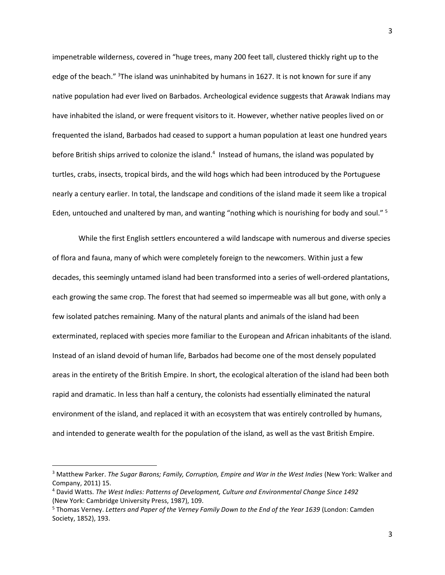impenetrable wilderness, covered in "huge trees, many 200 feet tall, clustered thickly right up to the edge of the beach." <sup>3</sup>The island was uninhabited by humans in 1627. It is not known for sure if any native population had ever lived on Barbados. Archeological evidence suggests that Arawak Indians may have inhabited the island, or were frequent visitors to it. However, whether native peoples lived on or frequented the island, Barbados had ceased to support a human population at least one hundred years before British ships arrived to colonize the island.<sup>4</sup> Instead of humans, the island was populated by turtles, crabs, insects, tropical birds, and the wild hogs which had been introduced by the Portuguese nearly a century earlier. In total, the landscape and conditions of the island made it seem like a tropical Eden, untouched and unaltered by man, and wanting "nothing which is nourishing for body and soul." <sup>5</sup>

While the first English settlers encountered a wild landscape with numerous and diverse species of flora and fauna, many of which were completely foreign to the newcomers. Within just a few decades, this seemingly untamed island had been transformed into a series of well-ordered plantations, each growing the same crop. The forest that had seemed so impermeable was all but gone, with only a few isolated patches remaining. Many of the natural plants and animals of the island had been exterminated, replaced with species more familiar to the European and African inhabitants of the island. Instead of an island devoid of human life, Barbados had become one of the most densely populated areas in the entirety of the British Empire. In short, the ecological alteration of the island had been both rapid and dramatic. In less than half a century, the colonists had essentially eliminated the natural environment of the island, and replaced it with an ecosystem that was entirely controlled by humans, and intended to generate wealth for the population of the island, as well as the vast British Empire.

 $\overline{a}$ 

<sup>&</sup>lt;sup>3</sup> Matthew Parker. *The Sugar Barons; Family, Corruption, Empire and War in the West Indies (New York: Walker and* Company, 2011) 15.

<sup>4</sup> David Watts. *The West Indies: Patterns of Development, Culture and Environmental Change Since 1492* (New York: Cambridge University Press, 1987), 109.

<sup>5</sup> Thomas Verney. *Letters and Paper of the Verney Family Down to the End of the Year 1639* (London: Camden Society, 1852), 193.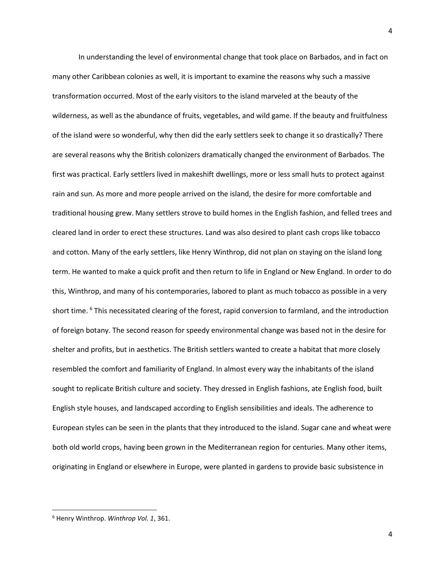In understanding the level of environmental change that took place on Barbados, and in fact on many other Caribbean colonies as well, it is important to examine the reasons why such a massive transformation occurred. Most of the early visitors to the island marveled at the beauty of the wilderness, as well as the abundance of fruits, vegetables, and wild game. If the beauty and fruitfulness of the island were so wonderful, why then did the early settlers seek to change it so drastically? There are several reasons why the British colonizers dramatically changed the environment of Barbados. The first was practical. Early settlers lived in makeshift dwellings, more or less small huts to protect against rain and sun. As more and more people arrived on the island, the desire for more comfortable and traditional housing grew. Many settlers strove to build homes in the English fashion, and felled trees and cleared land in order to erect these structures. Land was also desired to plant cash crops like tobacco and cotton. Many of the early settlers, like Henry Winthrop, did not plan on staying on the island long term. He wanted to make a quick profit and then return to life in England or New England. In order to do this, Winthrop, and many of his contemporaries, labored to plant as much tobacco as possible in a very short time. <sup>6</sup> This necessitated clearing of the forest, rapid conversion to farmland, and the introduction of foreign botany. The second reason for speedy environmental change was based not in the desire for shelter and profits, but in aesthetics. The British settlers wanted to create a habitat that more closely resembled the comfort and familiarity of England. In almost every way the inhabitants of the island sought to replicate British culture and society. They dressed in English fashions, ate English food, built English style houses, and landscaped according to English sensibilities and ideals. The adherence to European styles can be seen in the plants that they introduced to the island. Sugar cane and wheat were both old world crops, having been grown in the Mediterranean region for centuries. Many other items, originating in England or elsewhere in Europe, were planted in gardens to provide basic subsistence in

 $\overline{\phantom{a}}$ 

<sup>6</sup> Henry Winthrop. *Winthrop Vol. 1*, 361.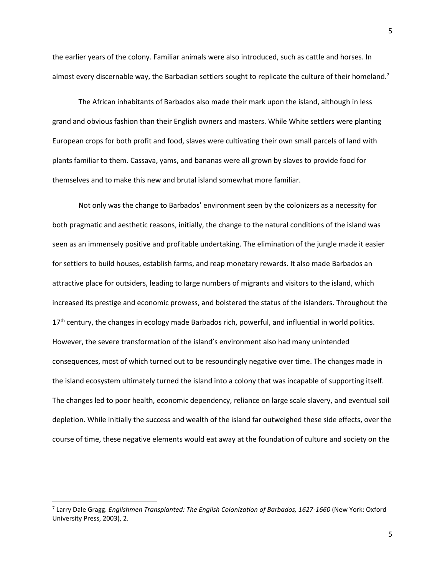the earlier years of the colony. Familiar animals were also introduced, such as cattle and horses. In almost every discernable way, the Barbadian settlers sought to replicate the culture of their homeland.<sup>7</sup>

The African inhabitants of Barbados also made their mark upon the island, although in less grand and obvious fashion than their English owners and masters. While White settlers were planting European crops for both profit and food, slaves were cultivating their own small parcels of land with plants familiar to them. Cassava, yams, and bananas were all grown by slaves to provide food for themselves and to make this new and brutal island somewhat more familiar.

Not only was the change to Barbados' environment seen by the colonizers as a necessity for both pragmatic and aesthetic reasons, initially, the change to the natural conditions of the island was seen as an immensely positive and profitable undertaking. The elimination of the jungle made it easier for settlers to build houses, establish farms, and reap monetary rewards. It also made Barbados an attractive place for outsiders, leading to large numbers of migrants and visitors to the island, which increased its prestige and economic prowess, and bolstered the status of the islanders. Throughout the 17<sup>th</sup> century, the changes in ecology made Barbados rich, powerful, and influential in world politics. However, the severe transformation of the island's environment also had many unintended consequences, most of which turned out to be resoundingly negative over time. The changes made in the island ecosystem ultimately turned the island into a colony that was incapable of supporting itself. The changes led to poor health, economic dependency, reliance on large scale slavery, and eventual soil depletion. While initially the success and wealth of the island far outweighed these side effects, over the course of time, these negative elements would eat away at the foundation of culture and society on the

<sup>7</sup> Larry Dale Gragg. *Englishmen Transplanted: The English Colonization of Barbados, 1627-1660* (New York: Oxford University Press, 2003), 2.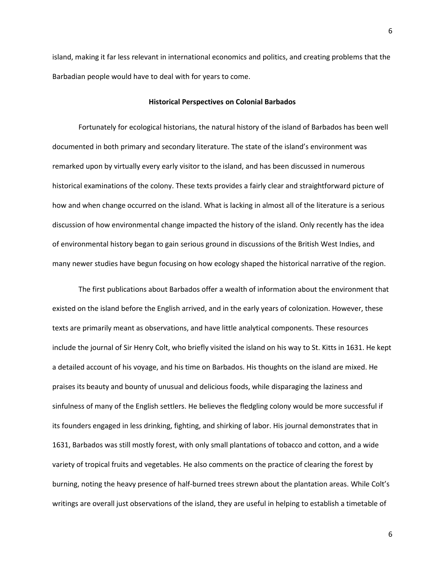island, making it far less relevant in international economics and politics, and creating problems that the Barbadian people would have to deal with for years to come.

#### **Historical Perspectives on Colonial Barbados**

Fortunately for ecological historians, the natural history of the island of Barbados has been well documented in both primary and secondary literature. The state of the island's environment was remarked upon by virtually every early visitor to the island, and has been discussed in numerous historical examinations of the colony. These texts provides a fairly clear and straightforward picture of how and when change occurred on the island. What is lacking in almost all of the literature is a serious discussion of how environmental change impacted the history of the island. Only recently has the idea of environmental history began to gain serious ground in discussions of the British West Indies, and many newer studies have begun focusing on how ecology shaped the historical narrative of the region.

The first publications about Barbados offer a wealth of information about the environment that existed on the island before the English arrived, and in the early years of colonization. However, these texts are primarily meant as observations, and have little analytical components. These resources include the journal of Sir Henry Colt, who briefly visited the island on his way to St. Kitts in 1631. He kept a detailed account of his voyage, and his time on Barbados. His thoughts on the island are mixed. He praises its beauty and bounty of unusual and delicious foods, while disparaging the laziness and sinfulness of many of the English settlers. He believes the fledgling colony would be more successful if its founders engaged in less drinking, fighting, and shirking of labor. His journal demonstrates that in 1631, Barbados was still mostly forest, with only small plantations of tobacco and cotton, and a wide variety of tropical fruits and vegetables. He also comments on the practice of clearing the forest by burning, noting the heavy presence of half-burned trees strewn about the plantation areas. While Colt's writings are overall just observations of the island, they are useful in helping to establish a timetable of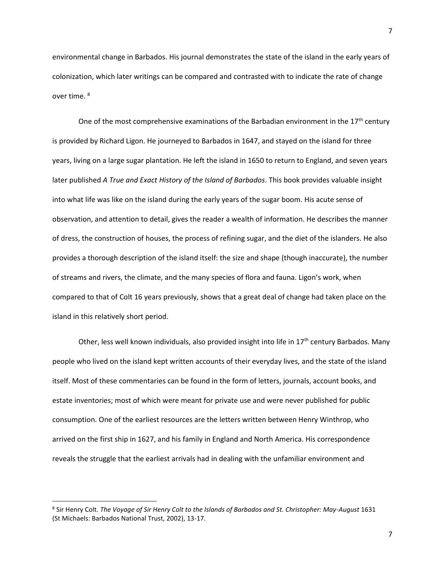environmental change in Barbados. His journal demonstrates the state of the island in the early years of colonization, which later writings can be compared and contrasted with to indicate the rate of change over time. <sup>8</sup>

One of the most comprehensive examinations of the Barbadian environment in the  $17<sup>th</sup>$  century is provided by Richard Ligon. He journeyed to Barbados in 1647, and stayed on the island for three years, living on a large sugar plantation. He left the island in 1650 to return to England, and seven years later published *A True and Exact History of the Island of Barbados*. This book provides valuable insight into what life was like on the island during the early years of the sugar boom. His acute sense of observation, and attention to detail, gives the reader a wealth of information. He describes the manner of dress, the construction of houses, the process of refining sugar, and the diet of the islanders. He also provides a thorough description of the island itself: the size and shape (though inaccurate), the number of streams and rivers, the climate, and the many species of flora and fauna. Ligon's work, when compared to that of Colt 16 years previously, shows that a great deal of change had taken place on the island in this relatively short period.

Other, less well known individuals, also provided insight into life in  $17<sup>th</sup>$  century Barbados. Many people who lived on the island kept written accounts of their everyday lives, and the state of the island itself. Most of these commentaries can be found in the form of letters, journals, account books, and estate inventories; most of which were meant for private use and were never published for public consumption. One of the earliest resources are the letters written between Henry Winthrop, who arrived on the first ship in 1627, and his family in England and North America. His correspondence reveals the struggle that the earliest arrivals had in dealing with the unfamiliar environment and

<sup>8</sup> Sir Henry Colt. *The Voyage of Sir Henry Colt to the Islands of Barbados and St. Christopher: May-August* 1631 (St Michaels: Barbados National Trust, 2002), 13-17.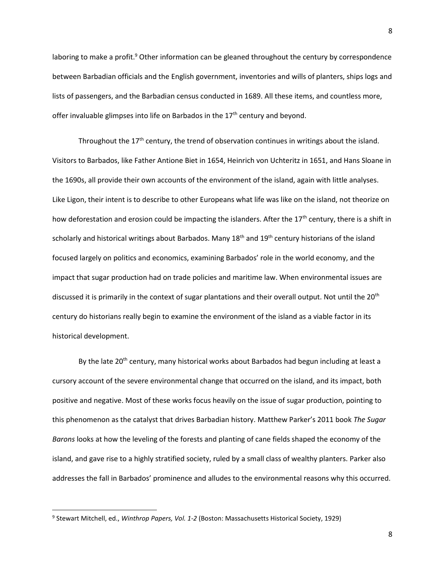laboring to make a profit.<sup>9</sup> Other information can be gleaned throughout the century by correspondence between Barbadian officials and the English government, inventories and wills of planters, ships logs and lists of passengers, and the Barbadian census conducted in 1689. All these items, and countless more, offer invaluable glimpses into life on Barbados in the 17<sup>th</sup> century and beyond.

Throughout the  $17<sup>th</sup>$  century, the trend of observation continues in writings about the island. Visitors to Barbados, like Father Antione Biet in 1654, Heinrich von Uchteritz in 1651, and Hans Sloane in the 1690s, all provide their own accounts of the environment of the island, again with little analyses. Like Ligon, their intent is to describe to other Europeans what life was like on the island, not theorize on how deforestation and erosion could be impacting the islanders. After the 17<sup>th</sup> century, there is a shift in scholarly and historical writings about Barbados. Many 18<sup>th</sup> and 19<sup>th</sup> century historians of the island focused largely on politics and economics, examining Barbados' role in the world economy, and the impact that sugar production had on trade policies and maritime law. When environmental issues are discussed it is primarily in the context of sugar plantations and their overall output. Not until the 20<sup>th</sup> century do historians really begin to examine the environment of the island as a viable factor in its historical development.

By the late 20<sup>th</sup> century, many historical works about Barbados had begun including at least a cursory account of the severe environmental change that occurred on the island, and its impact, both positive and negative. Most of these works focus heavily on the issue of sugar production, pointing to this phenomenon as the catalyst that drives Barbadian history. Matthew Parker's 2011 book *The Sugar Barons* looks at how the leveling of the forests and planting of cane fields shaped the economy of the island, and gave rise to a highly stratified society, ruled by a small class of wealthy planters. Parker also addresses the fall in Barbados' prominence and alludes to the environmental reasons why this occurred.

<sup>9</sup> Stewart Mitchell, ed., *Winthrop Papers, Vol. 1-2* (Boston: Massachusetts Historical Society, 1929)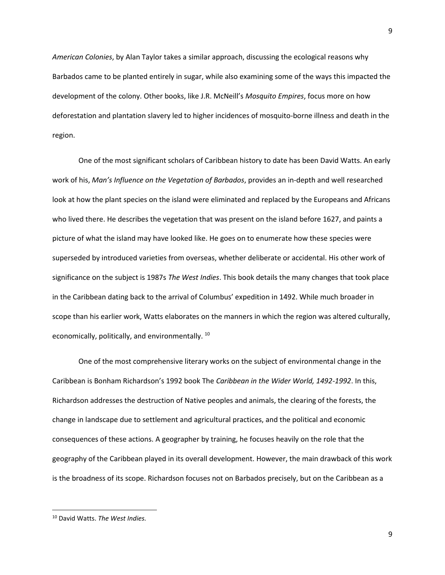*American Colonies*, by Alan Taylor takes a similar approach, discussing the ecological reasons why Barbados came to be planted entirely in sugar, while also examining some of the ways this impacted the development of the colony. Other books, like J.R. McNeill's *Mosquito Empires*, focus more on how deforestation and plantation slavery led to higher incidences of mosquito-borne illness and death in the region.

One of the most significant scholars of Caribbean history to date has been David Watts. An early work of his, *Man's Influence on the Vegetation of Barbados*, provides an in-depth and well researched look at how the plant species on the island were eliminated and replaced by the Europeans and Africans who lived there. He describes the vegetation that was present on the island before 1627, and paints a picture of what the island may have looked like. He goes on to enumerate how these species were superseded by introduced varieties from overseas, whether deliberate or accidental. His other work of significance on the subject is 1987s *The West Indies*. This book details the many changes that took place in the Caribbean dating back to the arrival of Columbus' expedition in 1492. While much broader in scope than his earlier work, Watts elaborates on the manners in which the region was altered culturally, economically, politically, and environmentally.<sup>10</sup>

One of the most comprehensive literary works on the subject of environmental change in the Caribbean is Bonham Richardson's 1992 book The *Caribbean in the Wider World, 1492-1992*. In this, Richardson addresses the destruction of Native peoples and animals, the clearing of the forests, the change in landscape due to settlement and agricultural practices, and the political and economic consequences of these actions. A geographer by training, he focuses heavily on the role that the geography of the Caribbean played in its overall development. However, the main drawback of this work is the broadness of its scope. Richardson focuses not on Barbados precisely, but on the Caribbean as a

<sup>10</sup> David Watts. *The West Indies.*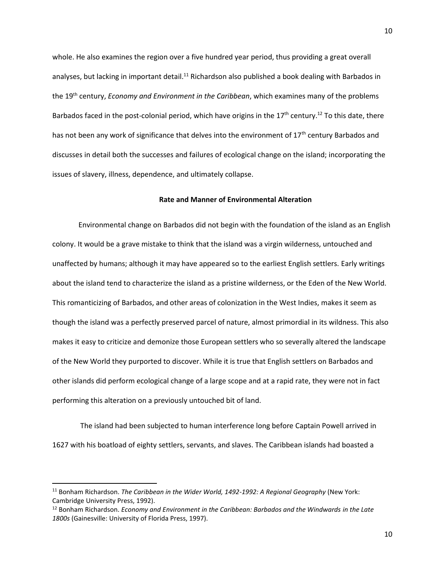whole. He also examines the region over a five hundred year period, thus providing a great overall analyses, but lacking in important detail.<sup>11</sup> Richardson also published a book dealing with Barbados in the 19th century, *Economy and Environment in the Caribbean*, which examines many of the problems Barbados faced in the post-colonial period, which have origins in the  $17<sup>th</sup>$  century.<sup>12</sup> To this date, there has not been any work of significance that delves into the environment of 17<sup>th</sup> century Barbados and discusses in detail both the successes and failures of ecological change on the island; incorporating the issues of slavery, illness, dependence, and ultimately collapse.

#### **Rate and Manner of Environmental Alteration**

Environmental change on Barbados did not begin with the foundation of the island as an English colony. It would be a grave mistake to think that the island was a virgin wilderness, untouched and unaffected by humans; although it may have appeared so to the earliest English settlers. Early writings about the island tend to characterize the island as a pristine wilderness, or the Eden of the New World. This romanticizing of Barbados, and other areas of colonization in the West Indies, makes it seem as though the island was a perfectly preserved parcel of nature, almost primordial in its wildness. This also makes it easy to criticize and demonize those European settlers who so severally altered the landscape of the New World they purported to discover. While it is true that English settlers on Barbados and other islands did perform ecological change of a large scope and at a rapid rate, they were not in fact performing this alteration on a previously untouched bit of land.

The island had been subjected to human interference long before Captain Powell arrived in 1627 with his boatload of eighty settlers, servants, and slaves. The Caribbean islands had boasted a

 $\overline{a}$ 

<sup>11</sup> Bonham Richardson. *The Caribbean in the Wider World, 1492-1992: A Regional Geography* (New York: Cambridge University Press, 1992).

<sup>&</sup>lt;sup>12</sup> Bonham Richardson. *Economy and Environment in the Caribbean: Barbados and the Windwards in the Late 1800s* (Gainesville: University of Florida Press, 1997).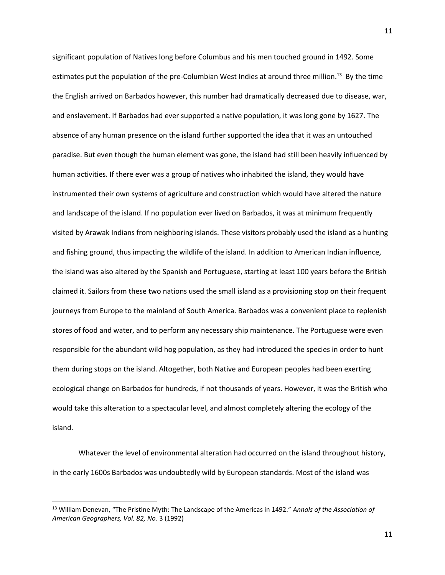significant population of Natives long before Columbus and his men touched ground in 1492. Some estimates put the population of the pre-Columbian West Indies at around three million.<sup>13</sup> By the time the English arrived on Barbados however, this number had dramatically decreased due to disease, war, and enslavement. If Barbados had ever supported a native population, it was long gone by 1627. The absence of any human presence on the island further supported the idea that it was an untouched paradise. But even though the human element was gone, the island had still been heavily influenced by human activities. If there ever was a group of natives who inhabited the island, they would have instrumented their own systems of agriculture and construction which would have altered the nature and landscape of the island. If no population ever lived on Barbados, it was at minimum frequently visited by Arawak Indians from neighboring islands. These visitors probably used the island as a hunting and fishing ground, thus impacting the wildlife of the island. In addition to American Indian influence, the island was also altered by the Spanish and Portuguese, starting at least 100 years before the British claimed it. Sailors from these two nations used the small island as a provisioning stop on their frequent journeys from Europe to the mainland of South America. Barbados was a convenient place to replenish stores of food and water, and to perform any necessary ship maintenance. The Portuguese were even responsible for the abundant wild hog population, as they had introduced the species in order to hunt them during stops on the island. Altogether, both Native and European peoples had been exerting ecological change on Barbados for hundreds, if not thousands of years. However, it was the British who would take this alteration to a spectacular level, and almost completely altering the ecology of the island.

Whatever the level of environmental alteration had occurred on the island throughout history, in the early 1600s Barbados was undoubtedly wild by European standards. Most of the island was

l

<sup>13</sup> William Denevan, "The Pristine Myth: The Landscape of the Americas in 1492." *Annals of the Association of American Geographers, Vol. 82, No.* 3 (1992)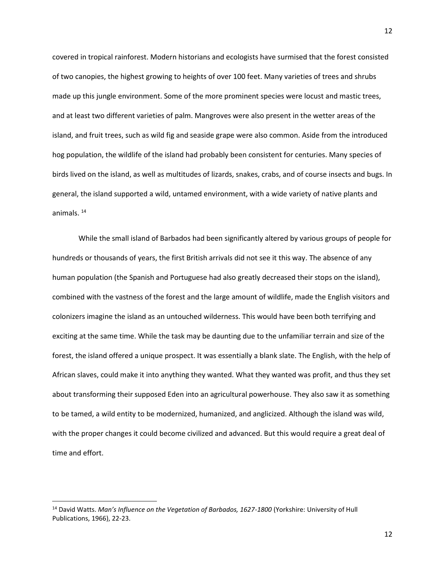covered in tropical rainforest. Modern historians and ecologists have surmised that the forest consisted of two canopies, the highest growing to heights of over 100 feet. Many varieties of trees and shrubs made up this jungle environment. Some of the more prominent species were locust and mastic trees, and at least two different varieties of palm. Mangroves were also present in the wetter areas of the island, and fruit trees, such as wild fig and seaside grape were also common. Aside from the introduced hog population, the wildlife of the island had probably been consistent for centuries. Many species of birds lived on the island, as well as multitudes of lizards, snakes, crabs, and of course insects and bugs. In general, the island supported a wild, untamed environment, with a wide variety of native plants and animals. <sup>14</sup>

While the small island of Barbados had been significantly altered by various groups of people for hundreds or thousands of years, the first British arrivals did not see it this way. The absence of any human population (the Spanish and Portuguese had also greatly decreased their stops on the island), combined with the vastness of the forest and the large amount of wildlife, made the English visitors and colonizers imagine the island as an untouched wilderness. This would have been both terrifying and exciting at the same time. While the task may be daunting due to the unfamiliar terrain and size of the forest, the island offered a unique prospect. It was essentially a blank slate. The English, with the help of African slaves, could make it into anything they wanted. What they wanted was profit, and thus they set about transforming their supposed Eden into an agricultural powerhouse. They also saw it as something to be tamed, a wild entity to be modernized, humanized, and anglicized. Although the island was wild, with the proper changes it could become civilized and advanced. But this would require a great deal of time and effort.

<sup>14</sup> David Watts. *Man's Influence on the Vegetation of Barbados, 1627-1800* (Yorkshire: University of Hull Publications, 1966), 22-23.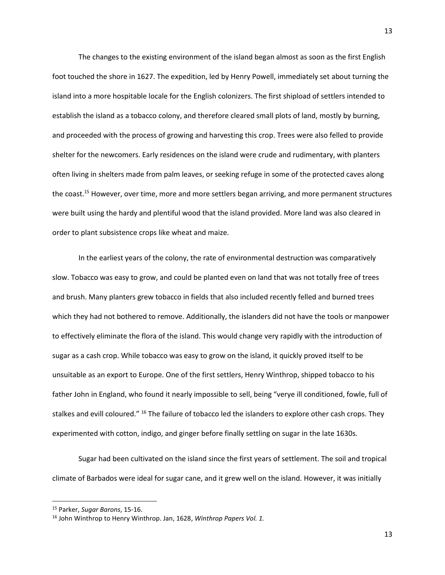The changes to the existing environment of the island began almost as soon as the first English foot touched the shore in 1627. The expedition, led by Henry Powell, immediately set about turning the island into a more hospitable locale for the English colonizers. The first shipload of settlers intended to establish the island as a tobacco colony, and therefore cleared small plots of land, mostly by burning, and proceeded with the process of growing and harvesting this crop. Trees were also felled to provide shelter for the newcomers. Early residences on the island were crude and rudimentary, with planters often living in shelters made from palm leaves, or seeking refuge in some of the protected caves along the coast.<sup>15</sup> However, over time, more and more settlers began arriving, and more permanent structures were built using the hardy and plentiful wood that the island provided. More land was also cleared in order to plant subsistence crops like wheat and maize.

In the earliest years of the colony, the rate of environmental destruction was comparatively slow. Tobacco was easy to grow, and could be planted even on land that was not totally free of trees and brush. Many planters grew tobacco in fields that also included recently felled and burned trees which they had not bothered to remove. Additionally, the islanders did not have the tools or manpower to effectively eliminate the flora of the island. This would change very rapidly with the introduction of sugar as a cash crop. While tobacco was easy to grow on the island, it quickly proved itself to be unsuitable as an export to Europe. One of the first settlers, Henry Winthrop, shipped tobacco to his father John in England, who found it nearly impossible to sell, being "verye ill conditioned, fowle, full of stalkes and evill coloured." <sup>16</sup> The failure of tobacco led the islanders to explore other cash crops. They experimented with cotton, indigo, and ginger before finally settling on sugar in the late 1630s.

Sugar had been cultivated on the island since the first years of settlement. The soil and tropical climate of Barbados were ideal for sugar cane, and it grew well on the island. However, it was initially

l

<sup>15</sup> Parker, *Sugar Barons*, 15-16.

<sup>16</sup> John Winthrop to Henry Winthrop. Jan, 1628, *Winthrop Papers Vol. 1.*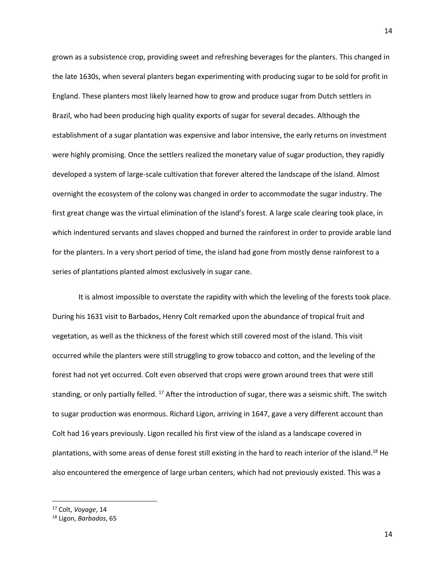grown as a subsistence crop, providing sweet and refreshing beverages for the planters. This changed in the late 1630s, when several planters began experimenting with producing sugar to be sold for profit in England. These planters most likely learned how to grow and produce sugar from Dutch settlers in Brazil, who had been producing high quality exports of sugar for several decades. Although the establishment of a sugar plantation was expensive and labor intensive, the early returns on investment were highly promising. Once the settlers realized the monetary value of sugar production, they rapidly developed a system of large-scale cultivation that forever altered the landscape of the island. Almost overnight the ecosystem of the colony was changed in order to accommodate the sugar industry. The first great change was the virtual elimination of the island's forest. A large scale clearing took place, in which indentured servants and slaves chopped and burned the rainforest in order to provide arable land for the planters. In a very short period of time, the island had gone from mostly dense rainforest to a series of plantations planted almost exclusively in sugar cane.

It is almost impossible to overstate the rapidity with which the leveling of the forests took place. During his 1631 visit to Barbados, Henry Colt remarked upon the abundance of tropical fruit and vegetation, as well as the thickness of the forest which still covered most of the island. This visit occurred while the planters were still struggling to grow tobacco and cotton, and the leveling of the forest had not yet occurred. Colt even observed that crops were grown around trees that were still standing, or only partially felled. <sup>17</sup> After the introduction of sugar, there was a seismic shift. The switch to sugar production was enormous. Richard Ligon, arriving in 1647, gave a very different account than Colt had 16 years previously. Ligon recalled his first view of the island as a landscape covered in plantations, with some areas of dense forest still existing in the hard to reach interior of the island.<sup>18</sup> He also encountered the emergence of large urban centers, which had not previously existed. This was a

<sup>17</sup> Colt, *Voyage*, 14

<sup>18</sup> Ligon, *Barbados*, 65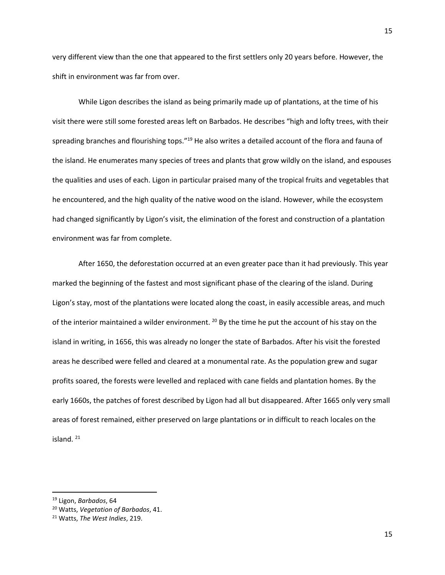very different view than the one that appeared to the first settlers only 20 years before. However, the shift in environment was far from over.

While Ligon describes the island as being primarily made up of plantations, at the time of his visit there were still some forested areas left on Barbados. He describes "high and lofty trees, with their spreading branches and flourishing tops."<sup>19</sup> He also writes a detailed account of the flora and fauna of the island. He enumerates many species of trees and plants that grow wildly on the island, and espouses the qualities and uses of each. Ligon in particular praised many of the tropical fruits and vegetables that he encountered, and the high quality of the native wood on the island. However, while the ecosystem had changed significantly by Ligon's visit, the elimination of the forest and construction of a plantation environment was far from complete.

After 1650, the deforestation occurred at an even greater pace than it had previously. This year marked the beginning of the fastest and most significant phase of the clearing of the island. During Ligon's stay, most of the plantations were located along the coast, in easily accessible areas, and much of the interior maintained a wilder environment. <sup>20</sup> By the time he put the account of his stay on the island in writing, in 1656, this was already no longer the state of Barbados. After his visit the forested areas he described were felled and cleared at a monumental rate. As the population grew and sugar profits soared, the forests were levelled and replaced with cane fields and plantation homes. By the early 1660s, the patches of forest described by Ligon had all but disappeared. After 1665 only very small areas of forest remained, either preserved on large plantations or in difficult to reach locales on the island. $^{21}$ 

<sup>19</sup> Ligon, *Barbados*, 64

<sup>20</sup> Watts, *Vegetation of Barbados*, 41.

<sup>21</sup> Watts, *The West Indies*, 219.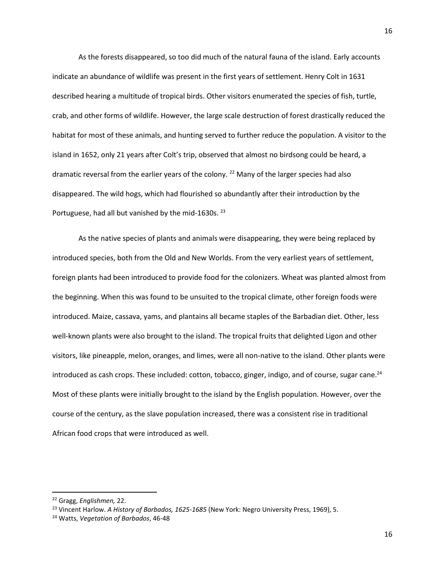As the forests disappeared, so too did much of the natural fauna of the island. Early accounts indicate an abundance of wildlife was present in the first years of settlement. Henry Colt in 1631 described hearing a multitude of tropical birds. Other visitors enumerated the species of fish, turtle, crab, and other forms of wildlife. However, the large scale destruction of forest drastically reduced the habitat for most of these animals, and hunting served to further reduce the population. A visitor to the island in 1652, only 21 years after Colt's trip, observed that almost no birdsong could be heard, a dramatic reversal from the earlier years of the colony.<sup>22</sup> Many of the larger species had also disappeared. The wild hogs, which had flourished so abundantly after their introduction by the Portuguese, had all but vanished by the mid-1630s. <sup>23</sup>

As the native species of plants and animals were disappearing, they were being replaced by introduced species, both from the Old and New Worlds. From the very earliest years of settlement, foreign plants had been introduced to provide food for the colonizers. Wheat was planted almost from the beginning. When this was found to be unsuited to the tropical climate, other foreign foods were introduced. Maize, cassava, yams, and plantains all became staples of the Barbadian diet. Other, less well-known plants were also brought to the island. The tropical fruits that delighted Ligon and other visitors, like pineapple, melon, oranges, and limes, were all non-native to the island. Other plants were introduced as cash crops. These included: cotton, tobacco, ginger, indigo, and of course, sugar cane.<sup>24</sup> Most of these plants were initially brought to the island by the English population. However, over the course of the century, as the slave population increased, there was a consistent rise in traditional African food crops that were introduced as well.

<sup>22</sup> Gragg, *Englishmen,* 22.

<sup>23</sup> Vincent Harlow. *A History of Barbados, 1625-1685* (New York: Negro University Press, 1969), 5.

<sup>24</sup> Watts, *Vegetation of Barbados*, 46-48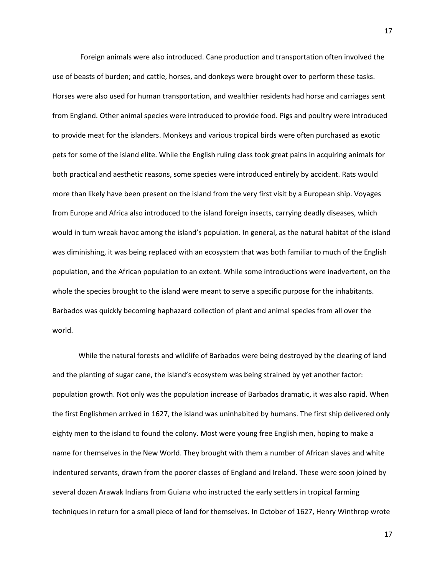Foreign animals were also introduced. Cane production and transportation often involved the use of beasts of burden; and cattle, horses, and donkeys were brought over to perform these tasks. Horses were also used for human transportation, and wealthier residents had horse and carriages sent from England. Other animal species were introduced to provide food. Pigs and poultry were introduced to provide meat for the islanders. Monkeys and various tropical birds were often purchased as exotic pets for some of the island elite. While the English ruling class took great pains in acquiring animals for both practical and aesthetic reasons, some species were introduced entirely by accident. Rats would more than likely have been present on the island from the very first visit by a European ship. Voyages from Europe and Africa also introduced to the island foreign insects, carrying deadly diseases, which would in turn wreak havoc among the island's population. In general, as the natural habitat of the island was diminishing, it was being replaced with an ecosystem that was both familiar to much of the English population, and the African population to an extent. While some introductions were inadvertent, on the whole the species brought to the island were meant to serve a specific purpose for the inhabitants. Barbados was quickly becoming haphazard collection of plant and animal species from all over the world.

While the natural forests and wildlife of Barbados were being destroyed by the clearing of land and the planting of sugar cane, the island's ecosystem was being strained by yet another factor: population growth. Not only was the population increase of Barbados dramatic, it was also rapid. When the first Englishmen arrived in 1627, the island was uninhabited by humans. The first ship delivered only eighty men to the island to found the colony. Most were young free English men, hoping to make a name for themselves in the New World. They brought with them a number of African slaves and white indentured servants, drawn from the poorer classes of England and Ireland. These were soon joined by several dozen Arawak Indians from Guiana who instructed the early settlers in tropical farming techniques in return for a small piece of land for themselves. In October of 1627, Henry Winthrop wrote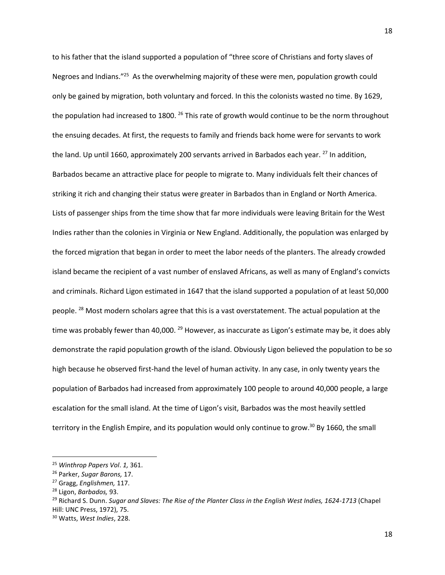to his father that the island supported a population of "three score of Christians and forty slaves of Negroes and Indians."<sup>25</sup> As the overwhelming majority of these were men, population growth could only be gained by migration, both voluntary and forced. In this the colonists wasted no time. By 1629, the population had increased to 1800. <sup>26</sup> This rate of growth would continue to be the norm throughout the ensuing decades. At first, the requests to family and friends back home were for servants to work the land. Up until 1660, approximately 200 servants arrived in Barbados each year. <sup>27</sup> In addition, Barbados became an attractive place for people to migrate to. Many individuals felt their chances of striking it rich and changing their status were greater in Barbados than in England or North America. Lists of passenger ships from the time show that far more individuals were leaving Britain for the West Indies rather than the colonies in Virginia or New England. Additionally, the population was enlarged by the forced migration that began in order to meet the labor needs of the planters. The already crowded island became the recipient of a vast number of enslaved Africans, as well as many of England's convicts and criminals. Richard Ligon estimated in 1647 that the island supported a population of at least 50,000 people. <sup>28</sup> Most modern scholars agree that this is a vast overstatement. The actual population at the time was probably fewer than 40,000.  $^{29}$  However, as inaccurate as Ligon's estimate may be, it does ably demonstrate the rapid population growth of the island. Obviously Ligon believed the population to be so high because he observed first-hand the level of human activity. In any case, in only twenty years the population of Barbados had increased from approximately 100 people to around 40,000 people, a large escalation for the small island. At the time of Ligon's visit, Barbados was the most heavily settled territory in the English Empire, and its population would only continue to grow.<sup>30</sup> By 1660, the small

 $\overline{\phantom{a}}$ 

<sup>25</sup> *Winthrop Papers Vol*. *1,* 361.

<sup>26</sup> Parker, *Sugar Barons,* 17.

<sup>27</sup> Gragg, *Englishmen,* 117.

<sup>28</sup> Ligon, *Barbados,* 93.

<sup>29</sup> Richard S. Dunn. *Sugar and Slaves: The Rise of the Planter Class in the English West Indies, 1624-1713* (Chapel Hill: UNC Press, 1972), 75.

<sup>30</sup> Watts, *West Indies*, 228.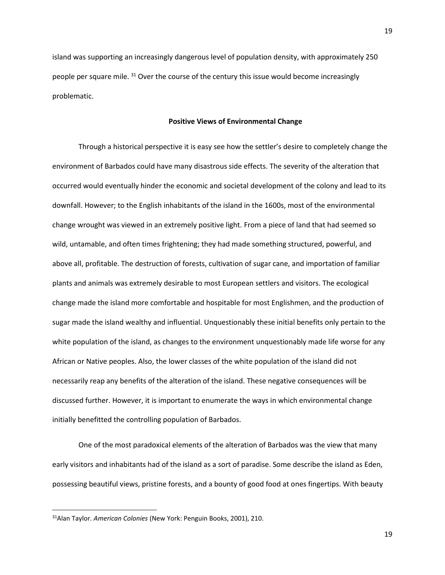island was supporting an increasingly dangerous level of population density, with approximately 250 people per square mile. <sup>31</sup> Over the course of the century this issue would become increasingly problematic.

# **Positive Views of Environmental Change**

Through a historical perspective it is easy see how the settler's desire to completely change the environment of Barbados could have many disastrous side effects. The severity of the alteration that occurred would eventually hinder the economic and societal development of the colony and lead to its downfall. However; to the English inhabitants of the island in the 1600s, most of the environmental change wrought was viewed in an extremely positive light. From a piece of land that had seemed so wild, untamable, and often times frightening; they had made something structured, powerful, and above all, profitable. The destruction of forests, cultivation of sugar cane, and importation of familiar plants and animals was extremely desirable to most European settlers and visitors. The ecological change made the island more comfortable and hospitable for most Englishmen, and the production of sugar made the island wealthy and influential. Unquestionably these initial benefits only pertain to the white population of the island, as changes to the environment unquestionably made life worse for any African or Native peoples. Also, the lower classes of the white population of the island did not necessarily reap any benefits of the alteration of the island. These negative consequences will be discussed further. However, it is important to enumerate the ways in which environmental change initially benefitted the controlling population of Barbados.

One of the most paradoxical elements of the alteration of Barbados was the view that many early visitors and inhabitants had of the island as a sort of paradise. Some describe the island as Eden, possessing beautiful views, pristine forests, and a bounty of good food at ones fingertips. With beauty

<sup>31</sup>Alan Taylor. *American Colonies* (New York: Penguin Books, 2001), 210.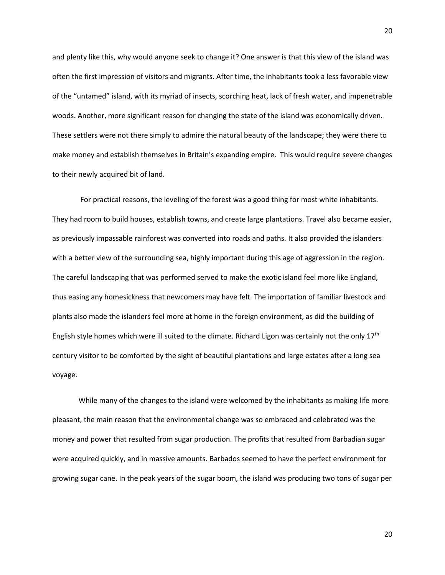and plenty like this, why would anyone seek to change it? One answer is that this view of the island was often the first impression of visitors and migrants. After time, the inhabitants took a less favorable view of the "untamed" island, with its myriad of insects, scorching heat, lack of fresh water, and impenetrable woods. Another, more significant reason for changing the state of the island was economically driven. These settlers were not there simply to admire the natural beauty of the landscape; they were there to make money and establish themselves in Britain's expanding empire. This would require severe changes to their newly acquired bit of land.

For practical reasons, the leveling of the forest was a good thing for most white inhabitants. They had room to build houses, establish towns, and create large plantations. Travel also became easier, as previously impassable rainforest was converted into roads and paths. It also provided the islanders with a better view of the surrounding sea, highly important during this age of aggression in the region. The careful landscaping that was performed served to make the exotic island feel more like England, thus easing any homesickness that newcomers may have felt. The importation of familiar livestock and plants also made the islanders feel more at home in the foreign environment, as did the building of English style homes which were ill suited to the climate. Richard Ligon was certainly not the only 17<sup>th</sup> century visitor to be comforted by the sight of beautiful plantations and large estates after a long sea voyage.

While many of the changes to the island were welcomed by the inhabitants as making life more pleasant, the main reason that the environmental change was so embraced and celebrated was the money and power that resulted from sugar production. The profits that resulted from Barbadian sugar were acquired quickly, and in massive amounts. Barbados seemed to have the perfect environment for growing sugar cane. In the peak years of the sugar boom, the island was producing two tons of sugar per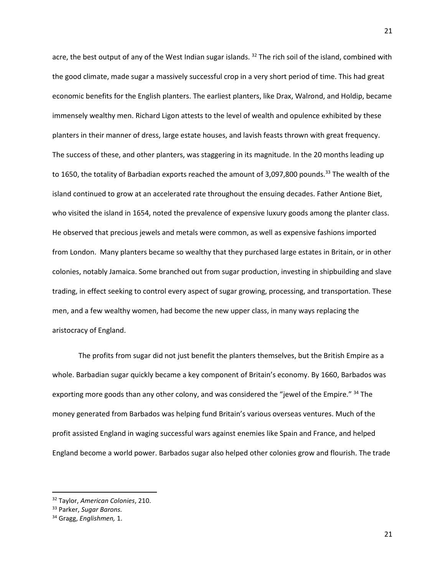acre, the best output of any of the West Indian sugar islands. <sup>32</sup> The rich soil of the island, combined with the good climate, made sugar a massively successful crop in a very short period of time. This had great economic benefits for the English planters. The earliest planters, like Drax, Walrond, and Holdip, became immensely wealthy men. Richard Ligon attests to the level of wealth and opulence exhibited by these planters in their manner of dress, large estate houses, and lavish feasts thrown with great frequency. The success of these, and other planters, was staggering in its magnitude. In the 20 months leading up to 1650, the totality of Barbadian exports reached the amount of 3,097,800 pounds.<sup>33</sup> The wealth of the island continued to grow at an accelerated rate throughout the ensuing decades. Father Antione Biet, who visited the island in 1654, noted the prevalence of expensive luxury goods among the planter class. He observed that precious jewels and metals were common, as well as expensive fashions imported from London. Many planters became so wealthy that they purchased large estates in Britain, or in other colonies, notably Jamaica. Some branched out from sugar production, investing in shipbuilding and slave trading, in effect seeking to control every aspect of sugar growing, processing, and transportation. These men, and a few wealthy women, had become the new upper class, in many ways replacing the aristocracy of England.

The profits from sugar did not just benefit the planters themselves, but the British Empire as a whole. Barbadian sugar quickly became a key component of Britain's economy. By 1660, Barbados was exporting more goods than any other colony, and was considered the "jewel of the Empire." <sup>34</sup> The money generated from Barbados was helping fund Britain's various overseas ventures. Much of the profit assisted England in waging successful wars against enemies like Spain and France, and helped England become a world power. Barbados sugar also helped other colonies grow and flourish. The trade

<sup>32</sup> Taylor, *American Colonies*, 210.

<sup>33</sup> Parker, *Sugar Barons.*

<sup>34</sup> Gragg, *Englishmen,* 1.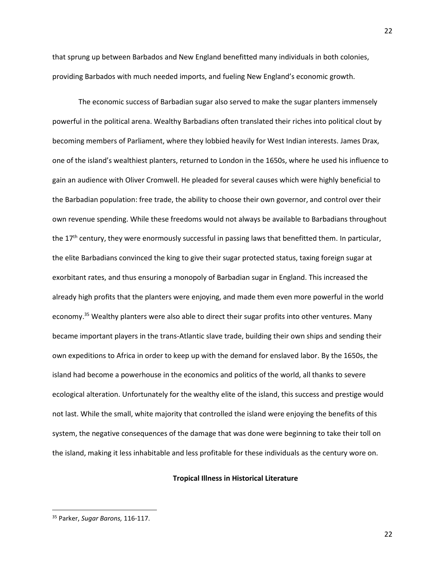that sprung up between Barbados and New England benefitted many individuals in both colonies, providing Barbados with much needed imports, and fueling New England's economic growth.

The economic success of Barbadian sugar also served to make the sugar planters immensely powerful in the political arena. Wealthy Barbadians often translated their riches into political clout by becoming members of Parliament, where they lobbied heavily for West Indian interests. James Drax, one of the island's wealthiest planters, returned to London in the 1650s, where he used his influence to gain an audience with Oliver Cromwell. He pleaded for several causes which were highly beneficial to the Barbadian population: free trade, the ability to choose their own governor, and control over their own revenue spending. While these freedoms would not always be available to Barbadians throughout the 17<sup>th</sup> century, they were enormously successful in passing laws that benefitted them. In particular, the elite Barbadians convinced the king to give their sugar protected status, taxing foreign sugar at exorbitant rates, and thus ensuring a monopoly of Barbadian sugar in England. This increased the already high profits that the planters were enjoying, and made them even more powerful in the world economy.<sup>35</sup> Wealthy planters were also able to direct their sugar profits into other ventures. Many became important players in the trans-Atlantic slave trade, building their own ships and sending their own expeditions to Africa in order to keep up with the demand for enslaved labor. By the 1650s, the island had become a powerhouse in the economics and politics of the world, all thanks to severe ecological alteration. Unfortunately for the wealthy elite of the island, this success and prestige would not last. While the small, white majority that controlled the island were enjoying the benefits of this system, the negative consequences of the damage that was done were beginning to take their toll on the island, making it less inhabitable and less profitable for these individuals as the century wore on.

# **Tropical Illness in Historical Literature**

 $\overline{\phantom{a}}$ 

<sup>35</sup> Parker, *Sugar Barons,* 116-117.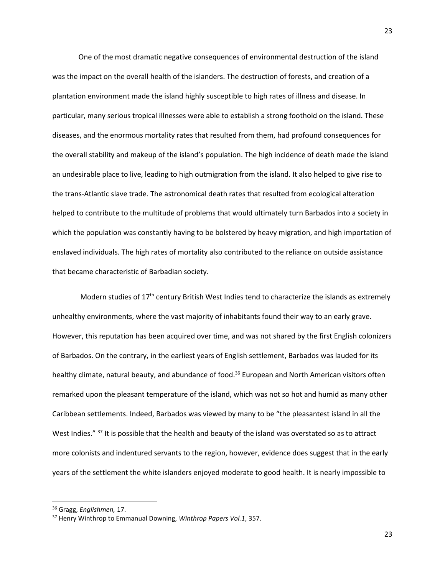One of the most dramatic negative consequences of environmental destruction of the island was the impact on the overall health of the islanders. The destruction of forests, and creation of a plantation environment made the island highly susceptible to high rates of illness and disease. In particular, many serious tropical illnesses were able to establish a strong foothold on the island. These diseases, and the enormous mortality rates that resulted from them, had profound consequences for the overall stability and makeup of the island's population. The high incidence of death made the island an undesirable place to live, leading to high outmigration from the island. It also helped to give rise to the trans-Atlantic slave trade. The astronomical death rates that resulted from ecological alteration helped to contribute to the multitude of problems that would ultimately turn Barbados into a society in which the population was constantly having to be bolstered by heavy migration, and high importation of enslaved individuals. The high rates of mortality also contributed to the reliance on outside assistance that became characteristic of Barbadian society.

Modern studies of 17<sup>th</sup> century British West Indies tend to characterize the islands as extremely unhealthy environments, where the vast majority of inhabitants found their way to an early grave. However, this reputation has been acquired over time, and was not shared by the first English colonizers of Barbados. On the contrary, in the earliest years of English settlement, Barbados was lauded for its healthy climate, natural beauty, and abundance of food.<sup>36</sup> European and North American visitors often remarked upon the pleasant temperature of the island, which was not so hot and humid as many other Caribbean settlements. Indeed, Barbados was viewed by many to be "the pleasantest island in all the West Indies." <sup>37</sup> It is possible that the health and beauty of the island was overstated so as to attract more colonists and indentured servants to the region, however, evidence does suggest that in the early years of the settlement the white islanders enjoyed moderate to good health. It is nearly impossible to

l

<sup>36</sup> Gragg, *Englishmen,* 17.

<sup>37</sup> Henry Winthrop to Emmanual Downing, *Winthrop Papers Vol.1*, 357.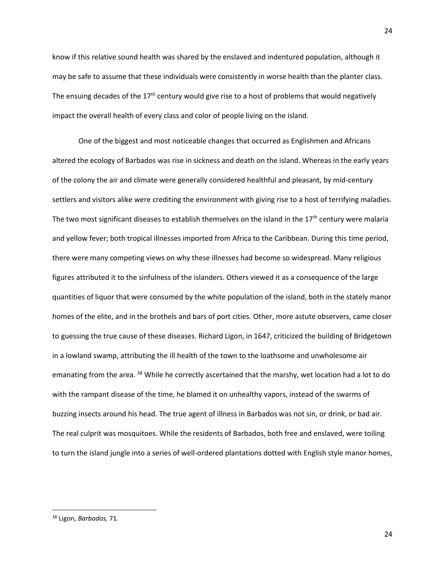know if this relative sound health was shared by the enslaved and indentured population, although it may be safe to assume that these individuals were consistently in worse health than the planter class. The ensuing decades of the  $17<sup>th</sup>$  century would give rise to a host of problems that would negatively impact the overall health of every class and color of people living on the island.

One of the biggest and most noticeable changes that occurred as Englishmen and Africans altered the ecology of Barbados was rise in sickness and death on the island. Whereas in the early years of the colony the air and climate were generally considered healthful and pleasant, by mid-century settlers and visitors alike were crediting the environment with giving rise to a host of terrifying maladies. The two most significant diseases to establish themselves on the island in the  $17<sup>th</sup>$  century were malaria and yellow fever; both tropical illnesses imported from Africa to the Caribbean. During this time period, there were many competing views on why these illnesses had become so widespread. Many religious figures attributed it to the sinfulness of the islanders. Others viewed it as a consequence of the large quantities of liquor that were consumed by the white population of the island, both in the stately manor homes of the elite, and in the brothels and bars of port cities. Other, more astute observers, came closer to guessing the true cause of these diseases. Richard Ligon, in 1647, criticized the building of Bridgetown in a lowland swamp, attributing the ill health of the town to the loathsome and unwholesome air emanating from the area. <sup>38</sup> While he correctly ascertained that the marshy, wet location had a lot to do with the rampant disease of the time, he blamed it on unhealthy vapors, instead of the swarms of buzzing insects around his head. The true agent of illness in Barbados was not sin, or drink, or bad air. The real culprit was mosquitoes. While the residents of Barbados, both free and enslaved, were toiling to turn the island jungle into a series of well-ordered plantations dotted with English style manor homes,

<sup>38</sup> Ligon, *Barbados,* 71.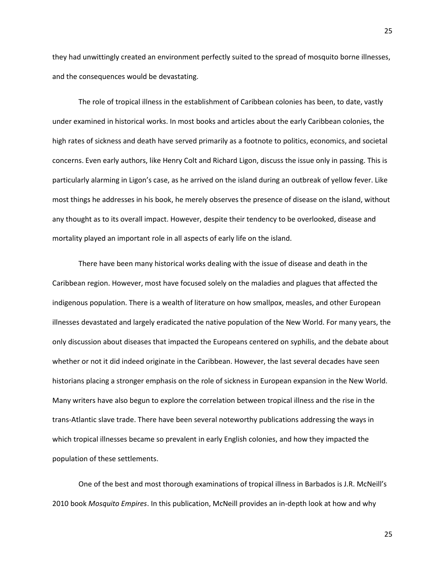they had unwittingly created an environment perfectly suited to the spread of mosquito borne illnesses, and the consequences would be devastating.

The role of tropical illness in the establishment of Caribbean colonies has been, to date, vastly under examined in historical works. In most books and articles about the early Caribbean colonies, the high rates of sickness and death have served primarily as a footnote to politics, economics, and societal concerns. Even early authors, like Henry Colt and Richard Ligon, discuss the issue only in passing. This is particularly alarming in Ligon's case, as he arrived on the island during an outbreak of yellow fever. Like most things he addresses in his book, he merely observes the presence of disease on the island, without any thought as to its overall impact. However, despite their tendency to be overlooked, disease and mortality played an important role in all aspects of early life on the island.

There have been many historical works dealing with the issue of disease and death in the Caribbean region. However, most have focused solely on the maladies and plagues that affected the indigenous population. There is a wealth of literature on how smallpox, measles, and other European illnesses devastated and largely eradicated the native population of the New World. For many years, the only discussion about diseases that impacted the Europeans centered on syphilis, and the debate about whether or not it did indeed originate in the Caribbean. However, the last several decades have seen historians placing a stronger emphasis on the role of sickness in European expansion in the New World. Many writers have also begun to explore the correlation between tropical illness and the rise in the trans-Atlantic slave trade. There have been several noteworthy publications addressing the ways in which tropical illnesses became so prevalent in early English colonies, and how they impacted the population of these settlements.

One of the best and most thorough examinations of tropical illness in Barbados is J.R. McNeill's 2010 book *Mosquito Empires*. In this publication, McNeill provides an in-depth look at how and why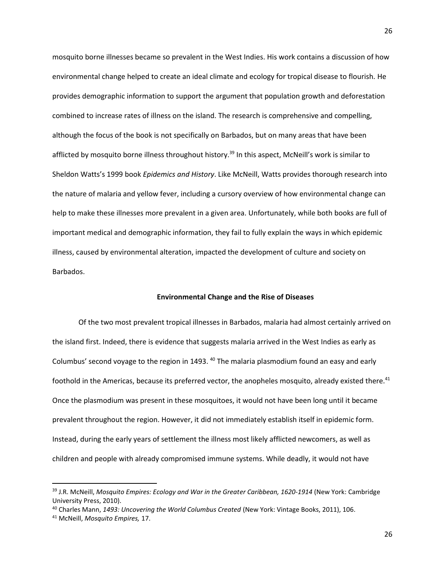mosquito borne illnesses became so prevalent in the West Indies. His work contains a discussion of how environmental change helped to create an ideal climate and ecology for tropical disease to flourish. He provides demographic information to support the argument that population growth and deforestation combined to increase rates of illness on the island. The research is comprehensive and compelling, although the focus of the book is not specifically on Barbados, but on many areas that have been afflicted by mosquito borne illness throughout history.<sup>39</sup> In this aspect, McNeill's work is similar to Sheldon Watts's 1999 book *Epidemics and History*. Like McNeill, Watts provides thorough research into the nature of malaria and yellow fever, including a cursory overview of how environmental change can help to make these illnesses more prevalent in a given area. Unfortunately, while both books are full of important medical and demographic information, they fail to fully explain the ways in which epidemic illness, caused by environmental alteration, impacted the development of culture and society on Barbados.

#### **Environmental Change and the Rise of Diseases**

Of the two most prevalent tropical illnesses in Barbados, malaria had almost certainly arrived on the island first. Indeed, there is evidence that suggests malaria arrived in the West Indies as early as Columbus' second voyage to the region in 1493. <sup>40</sup> The malaria plasmodium found an easy and early foothold in the Americas, because its preferred vector, the anopheles mosquito, already existed there.<sup>41</sup> Once the plasmodium was present in these mosquitoes, it would not have been long until it became prevalent throughout the region. However, it did not immediately establish itself in epidemic form. Instead, during the early years of settlement the illness most likely afflicted newcomers, as well as children and people with already compromised immune systems. While deadly, it would not have

 $\overline{a}$ 

<sup>39</sup> J.R. McNeill, *Mosquito Empires: Ecology and War in the Greater Caribbean, 1620-1914* (New York: Cambridge University Press, 2010).

<sup>40</sup> Charles Mann, *1493: Uncovering the World Columbus Created* (New York: Vintage Books, 2011), 106.

<sup>41</sup> McNeill, *Mosquito Empires,* 17.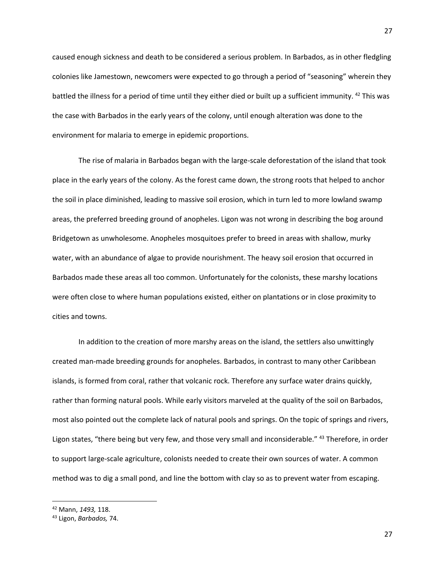caused enough sickness and death to be considered a serious problem. In Barbados, as in other fledgling colonies like Jamestown, newcomers were expected to go through a period of "seasoning" wherein they battled the illness for a period of time until they either died or built up a sufficient immunity. <sup>42</sup> This was the case with Barbados in the early years of the colony, until enough alteration was done to the environment for malaria to emerge in epidemic proportions.

The rise of malaria in Barbados began with the large-scale deforestation of the island that took place in the early years of the colony. As the forest came down, the strong roots that helped to anchor the soil in place diminished, leading to massive soil erosion, which in turn led to more lowland swamp areas, the preferred breeding ground of anopheles. Ligon was not wrong in describing the bog around Bridgetown as unwholesome. Anopheles mosquitoes prefer to breed in areas with shallow, murky water, with an abundance of algae to provide nourishment. The heavy soil erosion that occurred in Barbados made these areas all too common. Unfortunately for the colonists, these marshy locations were often close to where human populations existed, either on plantations or in close proximity to cities and towns.

In addition to the creation of more marshy areas on the island, the settlers also unwittingly created man-made breeding grounds for anopheles. Barbados, in contrast to many other Caribbean islands, is formed from coral, rather that volcanic rock. Therefore any surface water drains quickly, rather than forming natural pools. While early visitors marveled at the quality of the soil on Barbados, most also pointed out the complete lack of natural pools and springs. On the topic of springs and rivers, Ligon states, "there being but very few, and those very small and inconsiderable." 43 Therefore, in order to support large-scale agriculture, colonists needed to create their own sources of water. A common method was to dig a small pond, and line the bottom with clay so as to prevent water from escaping.

<sup>42</sup> Mann, *1493,* 118.

<sup>43</sup> Ligon, *Barbados,* 74.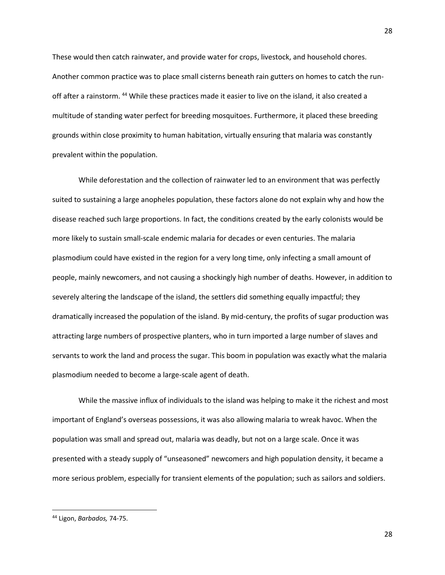These would then catch rainwater, and provide water for crops, livestock, and household chores. Another common practice was to place small cisterns beneath rain gutters on homes to catch the runoff after a rainstorm. <sup>44</sup> While these practices made it easier to live on the island, it also created a multitude of standing water perfect for breeding mosquitoes. Furthermore, it placed these breeding grounds within close proximity to human habitation, virtually ensuring that malaria was constantly prevalent within the population.

While deforestation and the collection of rainwater led to an environment that was perfectly suited to sustaining a large anopheles population, these factors alone do not explain why and how the disease reached such large proportions. In fact, the conditions created by the early colonists would be more likely to sustain small-scale endemic malaria for decades or even centuries. The malaria plasmodium could have existed in the region for a very long time, only infecting a small amount of people, mainly newcomers, and not causing a shockingly high number of deaths. However, in addition to severely altering the landscape of the island, the settlers did something equally impactful; they dramatically increased the population of the island. By mid-century, the profits of sugar production was attracting large numbers of prospective planters, who in turn imported a large number of slaves and servants to work the land and process the sugar. This boom in population was exactly what the malaria plasmodium needed to become a large-scale agent of death.

While the massive influx of individuals to the island was helping to make it the richest and most important of England's overseas possessions, it was also allowing malaria to wreak havoc. When the population was small and spread out, malaria was deadly, but not on a large scale. Once it was presented with a steady supply of "unseasoned" newcomers and high population density, it became a more serious problem, especially for transient elements of the population; such as sailors and soldiers.

<sup>44</sup> Ligon, *Barbados,* 74-75.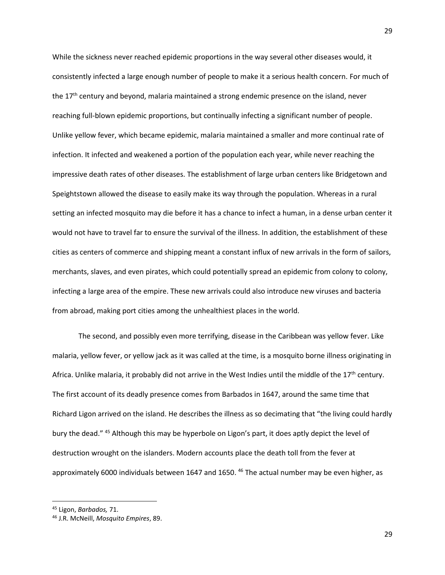While the sickness never reached epidemic proportions in the way several other diseases would, it consistently infected a large enough number of people to make it a serious health concern. For much of the 17<sup>th</sup> century and beyond, malaria maintained a strong endemic presence on the island, never reaching full-blown epidemic proportions, but continually infecting a significant number of people. Unlike yellow fever, which became epidemic, malaria maintained a smaller and more continual rate of infection. It infected and weakened a portion of the population each year, while never reaching the impressive death rates of other diseases. The establishment of large urban centers like Bridgetown and Speightstown allowed the disease to easily make its way through the population. Whereas in a rural setting an infected mosquito may die before it has a chance to infect a human, in a dense urban center it would not have to travel far to ensure the survival of the illness. In addition, the establishment of these cities as centers of commerce and shipping meant a constant influx of new arrivals in the form of sailors, merchants, slaves, and even pirates, which could potentially spread an epidemic from colony to colony, infecting a large area of the empire. These new arrivals could also introduce new viruses and bacteria from abroad, making port cities among the unhealthiest places in the world.

The second, and possibly even more terrifying, disease in the Caribbean was yellow fever. Like malaria, yellow fever, or yellow jack as it was called at the time, is a mosquito borne illness originating in Africa. Unlike malaria, it probably did not arrive in the West Indies until the middle of the  $17<sup>th</sup>$  century. The first account of its deadly presence comes from Barbados in 1647, around the same time that Richard Ligon arrived on the island. He describes the illness as so decimating that "the living could hardly bury the dead." <sup>45</sup> Although this may be hyperbole on Ligon's part, it does aptly depict the level of destruction wrought on the islanders. Modern accounts place the death toll from the fever at approximately 6000 individuals between 1647 and 1650. <sup>46</sup> The actual number may be even higher, as

<sup>45</sup> Ligon, *Barbados,* 71.

<sup>46</sup> J.R. McNeill, *Mosquito Empires*, 89.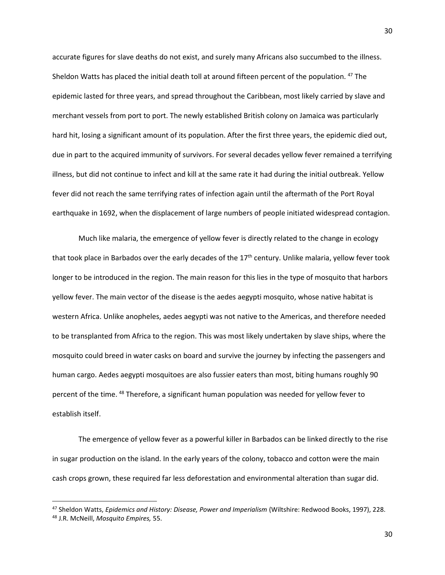accurate figures for slave deaths do not exist, and surely many Africans also succumbed to the illness. Sheldon Watts has placed the initial death toll at around fifteen percent of the population. <sup>47</sup> The epidemic lasted for three years, and spread throughout the Caribbean, most likely carried by slave and merchant vessels from port to port. The newly established British colony on Jamaica was particularly hard hit, losing a significant amount of its population. After the first three years, the epidemic died out, due in part to the acquired immunity of survivors. For several decades yellow fever remained a terrifying illness, but did not continue to infect and kill at the same rate it had during the initial outbreak. Yellow fever did not reach the same terrifying rates of infection again until the aftermath of the Port Royal earthquake in 1692, when the displacement of large numbers of people initiated widespread contagion.

Much like malaria, the emergence of yellow fever is directly related to the change in ecology that took place in Barbados over the early decades of the 17<sup>th</sup> century. Unlike malaria, yellow fever took longer to be introduced in the region. The main reason for this lies in the type of mosquito that harbors yellow fever. The main vector of the disease is the aedes aegypti mosquito, whose native habitat is western Africa. Unlike anopheles, aedes aegypti was not native to the Americas, and therefore needed to be transplanted from Africa to the region. This was most likely undertaken by slave ships, where the mosquito could breed in water casks on board and survive the journey by infecting the passengers and human cargo. Aedes aegypti mosquitoes are also fussier eaters than most, biting humans roughly 90 percent of the time. <sup>48</sup> Therefore, a significant human population was needed for yellow fever to establish itself.

The emergence of yellow fever as a powerful killer in Barbados can be linked directly to the rise in sugar production on the island. In the early years of the colony, tobacco and cotton were the main cash crops grown, these required far less deforestation and environmental alteration than sugar did.

<sup>47</sup> Sheldon Watts, *Epidemics and History: Disease, Power and Imperialism* (Wiltshire: Redwood Books, 1997), 228. <sup>48</sup> J.R. McNeill, *Mosquito Empires,* 55.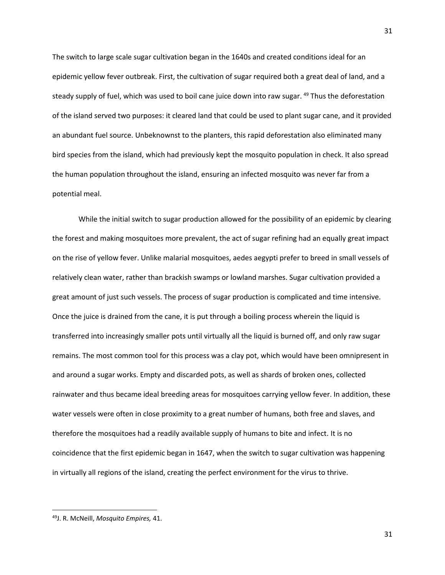The switch to large scale sugar cultivation began in the 1640s and created conditions ideal for an epidemic yellow fever outbreak. First, the cultivation of sugar required both a great deal of land, and a steady supply of fuel, which was used to boil cane juice down into raw sugar. <sup>49</sup> Thus the deforestation of the island served two purposes: it cleared land that could be used to plant sugar cane, and it provided an abundant fuel source. Unbeknownst to the planters, this rapid deforestation also eliminated many bird species from the island, which had previously kept the mosquito population in check. It also spread the human population throughout the island, ensuring an infected mosquito was never far from a potential meal.

While the initial switch to sugar production allowed for the possibility of an epidemic by clearing the forest and making mosquitoes more prevalent, the act of sugar refining had an equally great impact on the rise of yellow fever. Unlike malarial mosquitoes, aedes aegypti prefer to breed in small vessels of relatively clean water, rather than brackish swamps or lowland marshes. Sugar cultivation provided a great amount of just such vessels. The process of sugar production is complicated and time intensive. Once the juice is drained from the cane, it is put through a boiling process wherein the liquid is transferred into increasingly smaller pots until virtually all the liquid is burned off, and only raw sugar remains. The most common tool for this process was a clay pot, which would have been omnipresent in and around a sugar works. Empty and discarded pots, as well as shards of broken ones, collected rainwater and thus became ideal breeding areas for mosquitoes carrying yellow fever. In addition, these water vessels were often in close proximity to a great number of humans, both free and slaves, and therefore the mosquitoes had a readily available supply of humans to bite and infect. It is no coincidence that the first epidemic began in 1647, when the switch to sugar cultivation was happening in virtually all regions of the island, creating the perfect environment for the virus to thrive.

 $\overline{\phantom{a}}$ 

<sup>49</sup>J. R. McNeill, *Mosquito Empires,* 41.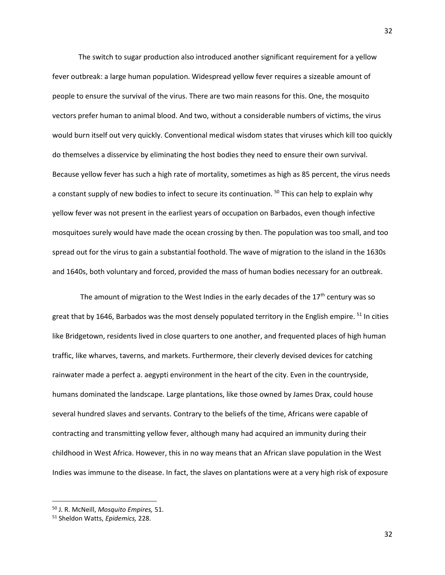The switch to sugar production also introduced another significant requirement for a yellow fever outbreak: a large human population. Widespread yellow fever requires a sizeable amount of people to ensure the survival of the virus. There are two main reasons for this. One, the mosquito vectors prefer human to animal blood. And two, without a considerable numbers of victims, the virus would burn itself out very quickly. Conventional medical wisdom states that viruses which kill too quickly do themselves a disservice by eliminating the host bodies they need to ensure their own survival. Because yellow fever has such a high rate of mortality, sometimes as high as 85 percent, the virus needs a constant supply of new bodies to infect to secure its continuation. <sup>50</sup> This can help to explain why yellow fever was not present in the earliest years of occupation on Barbados, even though infective mosquitoes surely would have made the ocean crossing by then. The population was too small, and too spread out for the virus to gain a substantial foothold. The wave of migration to the island in the 1630s and 1640s, both voluntary and forced, provided the mass of human bodies necessary for an outbreak.

The amount of migration to the West Indies in the early decades of the  $17<sup>th</sup>$  century was so great that by 1646, Barbados was the most densely populated territory in the English empire.  $51$  In cities like Bridgetown, residents lived in close quarters to one another, and frequented places of high human traffic, like wharves, taverns, and markets. Furthermore, their cleverly devised devices for catching rainwater made a perfect a. aegypti environment in the heart of the city. Even in the countryside, humans dominated the landscape. Large plantations, like those owned by James Drax, could house several hundred slaves and servants. Contrary to the beliefs of the time, Africans were capable of contracting and transmitting yellow fever, although many had acquired an immunity during their childhood in West Africa. However, this in no way means that an African slave population in the West Indies was immune to the disease. In fact, the slaves on plantations were at a very high risk of exposure

l

<sup>50</sup> J. R. McNeill, *Mosquito Empires,* 51.

<sup>51</sup> Sheldon Watts, *Epidemics,* 228.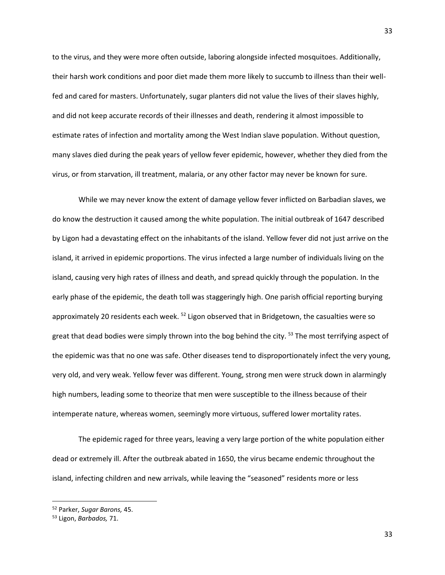to the virus, and they were more often outside, laboring alongside infected mosquitoes. Additionally, their harsh work conditions and poor diet made them more likely to succumb to illness than their wellfed and cared for masters. Unfortunately, sugar planters did not value the lives of their slaves highly, and did not keep accurate records of their illnesses and death, rendering it almost impossible to estimate rates of infection and mortality among the West Indian slave population. Without question, many slaves died during the peak years of yellow fever epidemic, however, whether they died from the virus, or from starvation, ill treatment, malaria, or any other factor may never be known for sure.

While we may never know the extent of damage yellow fever inflicted on Barbadian slaves, we do know the destruction it caused among the white population. The initial outbreak of 1647 described by Ligon had a devastating effect on the inhabitants of the island. Yellow fever did not just arrive on the island, it arrived in epidemic proportions. The virus infected a large number of individuals living on the island, causing very high rates of illness and death, and spread quickly through the population. In the early phase of the epidemic, the death toll was staggeringly high. One parish official reporting burying approximately 20 residents each week. <sup>52</sup> Ligon observed that in Bridgetown, the casualties were so great that dead bodies were simply thrown into the bog behind the city. <sup>53</sup> The most terrifying aspect of the epidemic was that no one was safe. Other diseases tend to disproportionately infect the very young, very old, and very weak. Yellow fever was different. Young, strong men were struck down in alarmingly high numbers, leading some to theorize that men were susceptible to the illness because of their intemperate nature, whereas women, seemingly more virtuous, suffered lower mortality rates.

The epidemic raged for three years, leaving a very large portion of the white population either dead or extremely ill. After the outbreak abated in 1650, the virus became endemic throughout the island, infecting children and new arrivals, while leaving the "seasoned" residents more or less

<sup>52</sup> Parker, *Sugar Barons,* 45.

<sup>53</sup> Ligon, *Barbados,* 71.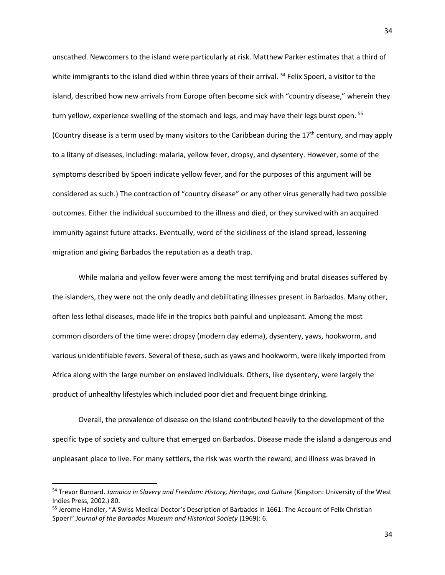unscathed. Newcomers to the island were particularly at risk. Matthew Parker estimates that a third of white immigrants to the island died within three years of their arrival. <sup>54</sup> Felix Spoeri, a visitor to the island, described how new arrivals from Europe often become sick with "country disease," wherein they turn yellow, experience swelling of the stomach and legs, and may have their legs burst open. <sup>55</sup> (Country disease is a term used by many visitors to the Caribbean during the  $17<sup>th</sup>$  century, and may apply to a litany of diseases, including: malaria, yellow fever, dropsy, and dysentery. However, some of the symptoms described by Spoeri indicate yellow fever, and for the purposes of this argument will be considered as such.) The contraction of "country disease" or any other virus generally had two possible outcomes. Either the individual succumbed to the illness and died, or they survived with an acquired immunity against future attacks. Eventually, word of the sickliness of the island spread, lessening migration and giving Barbados the reputation as a death trap.

While malaria and yellow fever were among the most terrifying and brutal diseases suffered by the islanders, they were not the only deadly and debilitating illnesses present in Barbados. Many other, often less lethal diseases, made life in the tropics both painful and unpleasant. Among the most common disorders of the time were: dropsy (modern day edema), dysentery, yaws, hookworm, and various unidentifiable fevers. Several of these, such as yaws and hookworm, were likely imported from Africa along with the large number on enslaved individuals. Others, like dysentery, were largely the product of unhealthy lifestyles which included poor diet and frequent binge drinking.

Overall, the prevalence of disease on the island contributed heavily to the development of the specific type of society and culture that emerged on Barbados. Disease made the island a dangerous and unpleasant place to live. For many settlers, the risk was worth the reward, and illness was braved in

 $\overline{a}$ 

<sup>54</sup> Trevor Burnard. *Jamaica in Slavery and Freedom: History, Heritage, and Culture* (Kingston: University of the West Indies Press, 2002.) 80.

<sup>&</sup>lt;sup>55</sup> Jerome Handler, "A Swiss Medical Doctor's Description of Barbados in 1661: The Account of Felix Christian Spoeri" *Journal of the Barbados Museum and Historical Society* (1969): 6.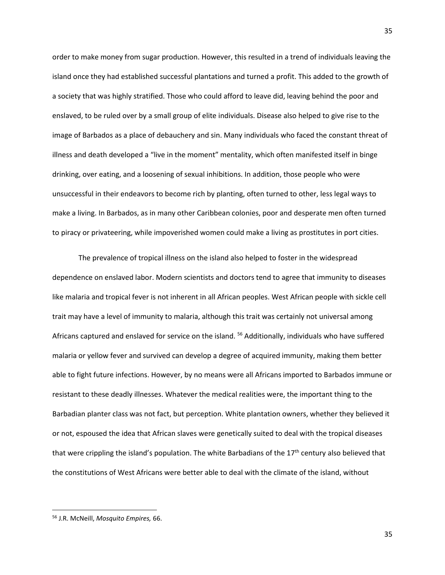order to make money from sugar production. However, this resulted in a trend of individuals leaving the island once they had established successful plantations and turned a profit. This added to the growth of a society that was highly stratified. Those who could afford to leave did, leaving behind the poor and enslaved, to be ruled over by a small group of elite individuals. Disease also helped to give rise to the image of Barbados as a place of debauchery and sin. Many individuals who faced the constant threat of illness and death developed a "live in the moment" mentality, which often manifested itself in binge drinking, over eating, and a loosening of sexual inhibitions. In addition, those people who were unsuccessful in their endeavors to become rich by planting, often turned to other, less legal ways to make a living. In Barbados, as in many other Caribbean colonies, poor and desperate men often turned to piracy or privateering, while impoverished women could make a living as prostitutes in port cities.

The prevalence of tropical illness on the island also helped to foster in the widespread dependence on enslaved labor. Modern scientists and doctors tend to agree that immunity to diseases like malaria and tropical fever is not inherent in all African peoples. West African people with sickle cell trait may have a level of immunity to malaria, although this trait was certainly not universal among Africans captured and enslaved for service on the island. <sup>56</sup> Additionally, individuals who have suffered malaria or yellow fever and survived can develop a degree of acquired immunity, making them better able to fight future infections. However, by no means were all Africans imported to Barbados immune or resistant to these deadly illnesses. Whatever the medical realities were, the important thing to the Barbadian planter class was not fact, but perception. White plantation owners, whether they believed it or not, espoused the idea that African slaves were genetically suited to deal with the tropical diseases that were crippling the island's population. The white Barbadians of the  $17<sup>th</sup>$  century also believed that the constitutions of West Africans were better able to deal with the climate of the island, without

<sup>56</sup> J.R. McNeill, *Mosquito Empires,* 66.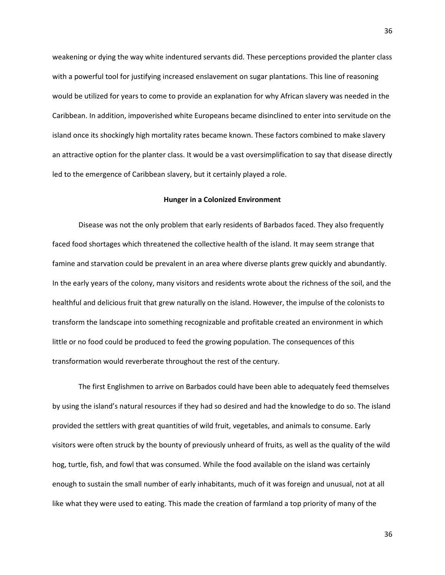weakening or dying the way white indentured servants did. These perceptions provided the planter class with a powerful tool for justifying increased enslavement on sugar plantations. This line of reasoning would be utilized for years to come to provide an explanation for why African slavery was needed in the Caribbean. In addition, impoverished white Europeans became disinclined to enter into servitude on the island once its shockingly high mortality rates became known. These factors combined to make slavery an attractive option for the planter class. It would be a vast oversimplification to say that disease directly led to the emergence of Caribbean slavery, but it certainly played a role.

### **Hunger in a Colonized Environment**

Disease was not the only problem that early residents of Barbados faced. They also frequently faced food shortages which threatened the collective health of the island. It may seem strange that famine and starvation could be prevalent in an area where diverse plants grew quickly and abundantly. In the early years of the colony, many visitors and residents wrote about the richness of the soil, and the healthful and delicious fruit that grew naturally on the island. However, the impulse of the colonists to transform the landscape into something recognizable and profitable created an environment in which little or no food could be produced to feed the growing population. The consequences of this transformation would reverberate throughout the rest of the century.

The first Englishmen to arrive on Barbados could have been able to adequately feed themselves by using the island's natural resources if they had so desired and had the knowledge to do so. The island provided the settlers with great quantities of wild fruit, vegetables, and animals to consume. Early visitors were often struck by the bounty of previously unheard of fruits, as well as the quality of the wild hog, turtle, fish, and fowl that was consumed. While the food available on the island was certainly enough to sustain the small number of early inhabitants, much of it was foreign and unusual, not at all like what they were used to eating. This made the creation of farmland a top priority of many of the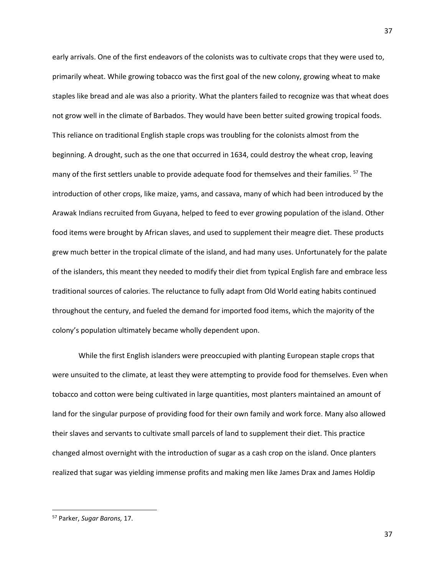early arrivals. One of the first endeavors of the colonists was to cultivate crops that they were used to, primarily wheat. While growing tobacco was the first goal of the new colony, growing wheat to make staples like bread and ale was also a priority. What the planters failed to recognize was that wheat does not grow well in the climate of Barbados. They would have been better suited growing tropical foods. This reliance on traditional English staple crops was troubling for the colonists almost from the beginning. A drought, such as the one that occurred in 1634, could destroy the wheat crop, leaving many of the first settlers unable to provide adequate food for themselves and their families. <sup>57</sup> The introduction of other crops, like maize, yams, and cassava, many of which had been introduced by the Arawak Indians recruited from Guyana, helped to feed to ever growing population of the island. Other food items were brought by African slaves, and used to supplement their meagre diet. These products grew much better in the tropical climate of the island, and had many uses. Unfortunately for the palate of the islanders, this meant they needed to modify their diet from typical English fare and embrace less traditional sources of calories. The reluctance to fully adapt from Old World eating habits continued throughout the century, and fueled the demand for imported food items, which the majority of the colony's population ultimately became wholly dependent upon.

While the first English islanders were preoccupied with planting European staple crops that were unsuited to the climate, at least they were attempting to provide food for themselves. Even when tobacco and cotton were being cultivated in large quantities, most planters maintained an amount of land for the singular purpose of providing food for their own family and work force. Many also allowed their slaves and servants to cultivate small parcels of land to supplement their diet. This practice changed almost overnight with the introduction of sugar as a cash crop on the island. Once planters realized that sugar was yielding immense profits and making men like James Drax and James Holdip

 $\overline{\phantom{a}}$ 

<sup>57</sup> Parker, *Sugar Barons,* 17.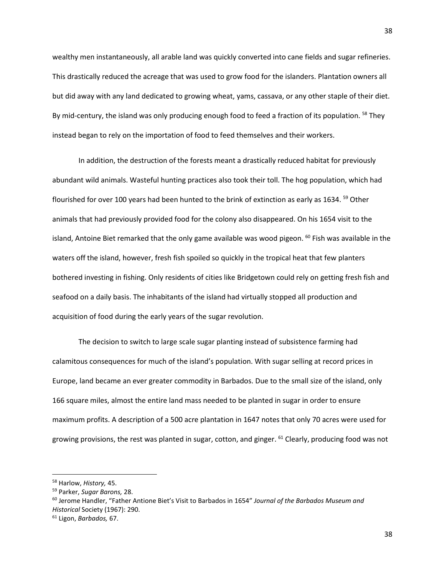wealthy men instantaneously, all arable land was quickly converted into cane fields and sugar refineries. This drastically reduced the acreage that was used to grow food for the islanders. Plantation owners all but did away with any land dedicated to growing wheat, yams, cassava, or any other staple of their diet. By mid-century, the island was only producing enough food to feed a fraction of its population. <sup>58</sup> They instead began to rely on the importation of food to feed themselves and their workers.

In addition, the destruction of the forests meant a drastically reduced habitat for previously abundant wild animals. Wasteful hunting practices also took their toll. The hog population, which had flourished for over 100 years had been hunted to the brink of extinction as early as 1634. <sup>59</sup> Other animals that had previously provided food for the colony also disappeared. On his 1654 visit to the island, Antoine Biet remarked that the only game available was wood pigeon.  $^{60}$  Fish was available in the waters off the island, however, fresh fish spoiled so quickly in the tropical heat that few planters bothered investing in fishing. Only residents of cities like Bridgetown could rely on getting fresh fish and seafood on a daily basis. The inhabitants of the island had virtually stopped all production and acquisition of food during the early years of the sugar revolution.

The decision to switch to large scale sugar planting instead of subsistence farming had calamitous consequences for much of the island's population. With sugar selling at record prices in Europe, land became an ever greater commodity in Barbados. Due to the small size of the island, only 166 square miles, almost the entire land mass needed to be planted in sugar in order to ensure maximum profits. A description of a 500 acre plantation in 1647 notes that only 70 acres were used for growing provisions, the rest was planted in sugar, cotton, and ginger. <sup>61</sup> Clearly, producing food was not

<sup>58</sup> Harlow, *History,* 45.

<sup>59</sup> Parker, *Sugar Barons,* 28.

<sup>60</sup> Jerome Handler, "Father Antione Biet's Visit to Barbados in 1654" *Journal of the Barbados Museum and Historical* Society (1967): 290.

<sup>61</sup> Ligon, *Barbados,* 67.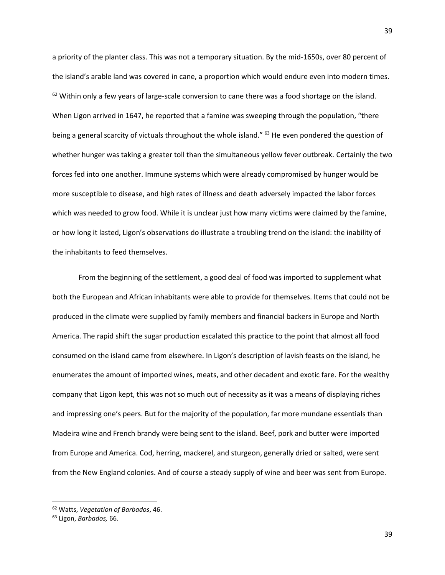a priority of the planter class. This was not a temporary situation. By the mid-1650s, over 80 percent of the island's arable land was covered in cane, a proportion which would endure even into modern times.  $62$  Within only a few years of large-scale conversion to cane there was a food shortage on the island. When Ligon arrived in 1647, he reported that a famine was sweeping through the population, "there being a general scarcity of victuals throughout the whole island." <sup>63</sup> He even pondered the question of whether hunger was taking a greater toll than the simultaneous yellow fever outbreak. Certainly the two forces fed into one another. Immune systems which were already compromised by hunger would be more susceptible to disease, and high rates of illness and death adversely impacted the labor forces which was needed to grow food. While it is unclear just how many victims were claimed by the famine, or how long it lasted, Ligon's observations do illustrate a troubling trend on the island: the inability of the inhabitants to feed themselves.

From the beginning of the settlement, a good deal of food was imported to supplement what both the European and African inhabitants were able to provide for themselves. Items that could not be produced in the climate were supplied by family members and financial backers in Europe and North America. The rapid shift the sugar production escalated this practice to the point that almost all food consumed on the island came from elsewhere. In Ligon's description of lavish feasts on the island, he enumerates the amount of imported wines, meats, and other decadent and exotic fare. For the wealthy company that Ligon kept, this was not so much out of necessity as it was a means of displaying riches and impressing one's peers. But for the majority of the population, far more mundane essentials than Madeira wine and French brandy were being sent to the island. Beef, pork and butter were imported from Europe and America. Cod, herring, mackerel, and sturgeon, generally dried or salted, were sent from the New England colonies. And of course a steady supply of wine and beer was sent from Europe.

<sup>62</sup> Watts, *Vegetation of Barbados*, 46.

<sup>63</sup> Ligon, *Barbados,* 66.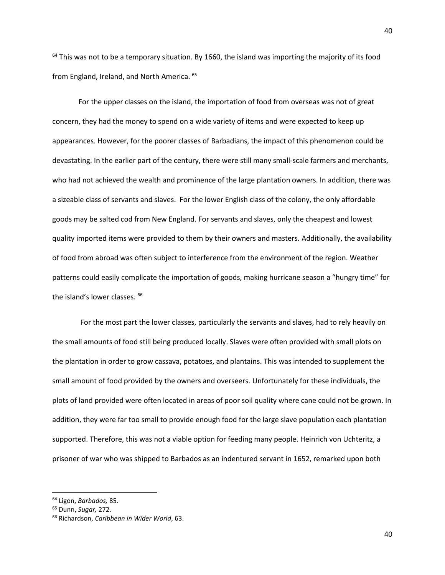$64$  This was not to be a temporary situation. By 1660, the island was importing the majority of its food from England, Ireland, and North America. <sup>65</sup>

For the upper classes on the island, the importation of food from overseas was not of great concern, they had the money to spend on a wide variety of items and were expected to keep up appearances. However, for the poorer classes of Barbadians, the impact of this phenomenon could be devastating. In the earlier part of the century, there were still many small-scale farmers and merchants, who had not achieved the wealth and prominence of the large plantation owners. In addition, there was a sizeable class of servants and slaves. For the lower English class of the colony, the only affordable goods may be salted cod from New England. For servants and slaves, only the cheapest and lowest quality imported items were provided to them by their owners and masters. Additionally, the availability of food from abroad was often subject to interference from the environment of the region. Weather patterns could easily complicate the importation of goods, making hurricane season a "hungry time" for the island's lower classes. <sup>66</sup>

For the most part the lower classes, particularly the servants and slaves, had to rely heavily on the small amounts of food still being produced locally. Slaves were often provided with small plots on the plantation in order to grow cassava, potatoes, and plantains. This was intended to supplement the small amount of food provided by the owners and overseers. Unfortunately for these individuals, the plots of land provided were often located in areas of poor soil quality where cane could not be grown. In addition, they were far too small to provide enough food for the large slave population each plantation supported. Therefore, this was not a viable option for feeding many people. Heinrich von Uchteritz, a prisoner of war who was shipped to Barbados as an indentured servant in 1652, remarked upon both

 $\overline{\phantom{a}}$ 

<sup>64</sup> Ligon, *Barbados,* 85.

<sup>65</sup> Dunn, *Sugar,* 272.

<sup>66</sup> Richardson, *Caribbean in Wider World*, 63.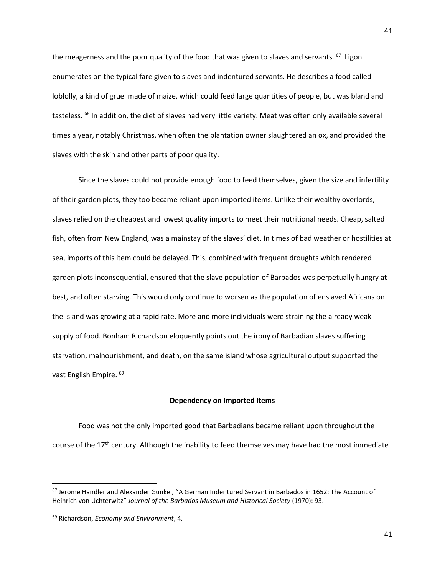the meagerness and the poor quality of the food that was given to slaves and servants. <sup>67</sup> Ligon enumerates on the typical fare given to slaves and indentured servants. He describes a food called loblolly, a kind of gruel made of maize, which could feed large quantities of people, but was bland and tasteless. <sup>68</sup> In addition, the diet of slaves had very little variety. Meat was often only available several times a year, notably Christmas, when often the plantation owner slaughtered an ox, and provided the slaves with the skin and other parts of poor quality.

Since the slaves could not provide enough food to feed themselves, given the size and infertility of their garden plots, they too became reliant upon imported items. Unlike their wealthy overlords, slaves relied on the cheapest and lowest quality imports to meet their nutritional needs. Cheap, salted fish, often from New England, was a mainstay of the slaves' diet. In times of bad weather or hostilities at sea, imports of this item could be delayed. This, combined with frequent droughts which rendered garden plots inconsequential, ensured that the slave population of Barbados was perpetually hungry at best, and often starving. This would only continue to worsen as the population of enslaved Africans on the island was growing at a rapid rate. More and more individuals were straining the already weak supply of food. Bonham Richardson eloquently points out the irony of Barbadian slaves suffering starvation, malnourishment, and death, on the same island whose agricultural output supported the vast English Empire. 69

#### **Dependency on Imported Items**

Food was not the only imported good that Barbadians became reliant upon throughout the course of the 17th century. Although the inability to feed themselves may have had the most immediate

 $\overline{a}$ 

<sup>&</sup>lt;sup>67</sup> Jerome Handler and Alexander Gunkel, "A German Indentured Servant in Barbados in 1652: The Account of Heinrich von Uchterwitz" *Journal of the Barbados Museum and Historical Society* (1970): 93.

<sup>69</sup> Richardson, *Economy and Environment*, 4.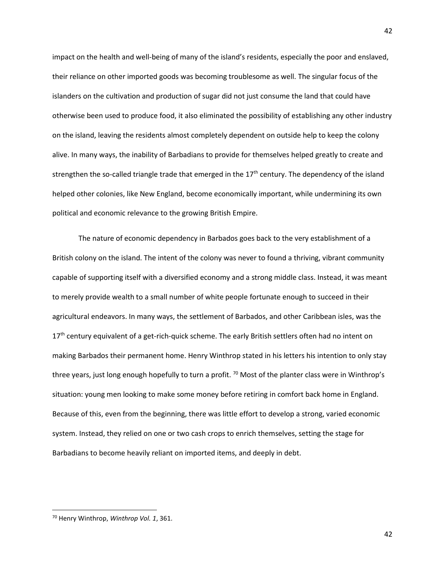impact on the health and well-being of many of the island's residents, especially the poor and enslaved, their reliance on other imported goods was becoming troublesome as well. The singular focus of the islanders on the cultivation and production of sugar did not just consume the land that could have otherwise been used to produce food, it also eliminated the possibility of establishing any other industry on the island, leaving the residents almost completely dependent on outside help to keep the colony alive. In many ways, the inability of Barbadians to provide for themselves helped greatly to create and strengthen the so-called triangle trade that emerged in the 17<sup>th</sup> century. The dependency of the island helped other colonies, like New England, become economically important, while undermining its own political and economic relevance to the growing British Empire.

The nature of economic dependency in Barbados goes back to the very establishment of a British colony on the island. The intent of the colony was never to found a thriving, vibrant community capable of supporting itself with a diversified economy and a strong middle class. Instead, it was meant to merely provide wealth to a small number of white people fortunate enough to succeed in their agricultural endeavors. In many ways, the settlement of Barbados, and other Caribbean isles, was the  $17<sup>th</sup>$  century equivalent of a get-rich-quick scheme. The early British settlers often had no intent on making Barbados their permanent home. Henry Winthrop stated in his letters his intention to only stay three years, just long enough hopefully to turn a profit.  $70$  Most of the planter class were in Winthrop's situation: young men looking to make some money before retiring in comfort back home in England. Because of this, even from the beginning, there was little effort to develop a strong, varied economic system. Instead, they relied on one or two cash crops to enrich themselves, setting the stage for Barbadians to become heavily reliant on imported items, and deeply in debt.

 $\overline{\phantom{a}}$ 

<sup>70</sup> Henry Winthrop, *Winthrop Vol. 1*, 361.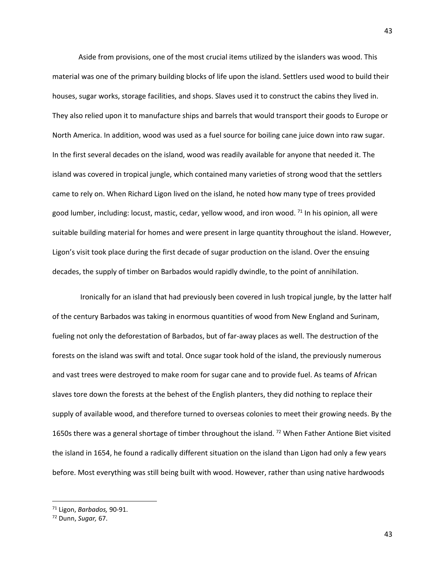Aside from provisions, one of the most crucial items utilized by the islanders was wood. This material was one of the primary building blocks of life upon the island. Settlers used wood to build their houses, sugar works, storage facilities, and shops. Slaves used it to construct the cabins they lived in. They also relied upon it to manufacture ships and barrels that would transport their goods to Europe or North America. In addition, wood was used as a fuel source for boiling cane juice down into raw sugar. In the first several decades on the island, wood was readily available for anyone that needed it. The island was covered in tropical jungle, which contained many varieties of strong wood that the settlers came to rely on. When Richard Ligon lived on the island, he noted how many type of trees provided good lumber, including: locust, mastic, cedar, yellow wood, and iron wood.  $71$  In his opinion, all were suitable building material for homes and were present in large quantity throughout the island. However, Ligon's visit took place during the first decade of sugar production on the island. Over the ensuing decades, the supply of timber on Barbados would rapidly dwindle, to the point of annihilation.

Ironically for an island that had previously been covered in lush tropical jungle, by the latter half of the century Barbados was taking in enormous quantities of wood from New England and Surinam, fueling not only the deforestation of Barbados, but of far-away places as well. The destruction of the forests on the island was swift and total. Once sugar took hold of the island, the previously numerous and vast trees were destroyed to make room for sugar cane and to provide fuel. As teams of African slaves tore down the forests at the behest of the English planters, they did nothing to replace their supply of available wood, and therefore turned to overseas colonies to meet their growing needs. By the 1650s there was a general shortage of timber throughout the island.<sup>72</sup> When Father Antione Biet visited the island in 1654, he found a radically different situation on the island than Ligon had only a few years before. Most everything was still being built with wood. However, rather than using native hardwoods

<sup>71</sup> Ligon, *Barbados,* 90-91.

<sup>72</sup> Dunn, *Sugar,* 67.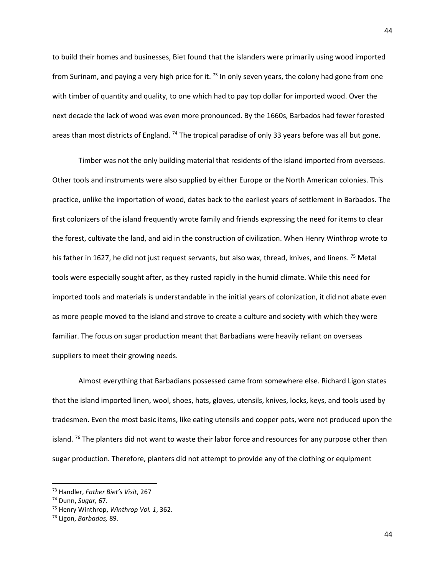to build their homes and businesses, Biet found that the islanders were primarily using wood imported from Surinam, and paying a very high price for it.  $^{73}$  In only seven years, the colony had gone from one with timber of quantity and quality, to one which had to pay top dollar for imported wood. Over the next decade the lack of wood was even more pronounced. By the 1660s, Barbados had fewer forested areas than most districts of England. <sup>74</sup> The tropical paradise of only 33 years before was all but gone.

Timber was not the only building material that residents of the island imported from overseas. Other tools and instruments were also supplied by either Europe or the North American colonies. This practice, unlike the importation of wood, dates back to the earliest years of settlement in Barbados. The first colonizers of the island frequently wrote family and friends expressing the need for items to clear the forest, cultivate the land, and aid in the construction of civilization. When Henry Winthrop wrote to his father in 1627, he did not just request servants, but also wax, thread, knives, and linens. <sup>75</sup> Metal tools were especially sought after, as they rusted rapidly in the humid climate. While this need for imported tools and materials is understandable in the initial years of colonization, it did not abate even as more people moved to the island and strove to create a culture and society with which they were familiar. The focus on sugar production meant that Barbadians were heavily reliant on overseas suppliers to meet their growing needs.

Almost everything that Barbadians possessed came from somewhere else. Richard Ligon states that the island imported linen, wool, shoes, hats, gloves, utensils, knives, locks, keys, and tools used by tradesmen. Even the most basic items, like eating utensils and copper pots, were not produced upon the island. <sup>76</sup> The planters did not want to waste their labor force and resources for any purpose other than sugar production. Therefore, planters did not attempt to provide any of the clothing or equipment

 $\overline{a}$ 

<sup>73</sup> Handler, *Father Biet's Visit*, 267

<sup>74</sup> Dunn, *Sugar,* 67.

<sup>75</sup> Henry Winthrop, *Winthrop Vol. 1*, 362.

<sup>76</sup> Ligon, *Barbados,* 89.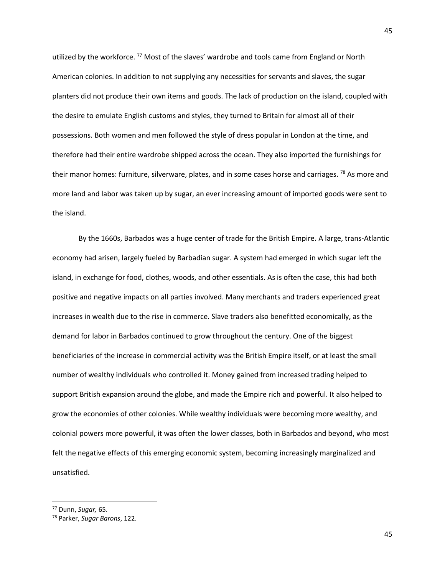utilized by the workforce.<sup>77</sup> Most of the slaves' wardrobe and tools came from England or North American colonies. In addition to not supplying any necessities for servants and slaves, the sugar planters did not produce their own items and goods. The lack of production on the island, coupled with the desire to emulate English customs and styles, they turned to Britain for almost all of their possessions. Both women and men followed the style of dress popular in London at the time, and therefore had their entire wardrobe shipped across the ocean. They also imported the furnishings for their manor homes: furniture, silverware, plates, and in some cases horse and carriages. <sup>78</sup> As more and more land and labor was taken up by sugar, an ever increasing amount of imported goods were sent to the island.

By the 1660s, Barbados was a huge center of trade for the British Empire. A large, trans-Atlantic economy had arisen, largely fueled by Barbadian sugar. A system had emerged in which sugar left the island, in exchange for food, clothes, woods, and other essentials. As is often the case, this had both positive and negative impacts on all parties involved. Many merchants and traders experienced great increases in wealth due to the rise in commerce. Slave traders also benefitted economically, as the demand for labor in Barbados continued to grow throughout the century. One of the biggest beneficiaries of the increase in commercial activity was the British Empire itself, or at least the small number of wealthy individuals who controlled it. Money gained from increased trading helped to support British expansion around the globe, and made the Empire rich and powerful. It also helped to grow the economies of other colonies. While wealthy individuals were becoming more wealthy, and colonial powers more powerful, it was often the lower classes, both in Barbados and beyond, who most felt the negative effects of this emerging economic system, becoming increasingly marginalized and unsatisfied.

<sup>77</sup> Dunn, *Sugar,* 65.

<sup>78</sup> Parker, *Sugar Barons*, 122.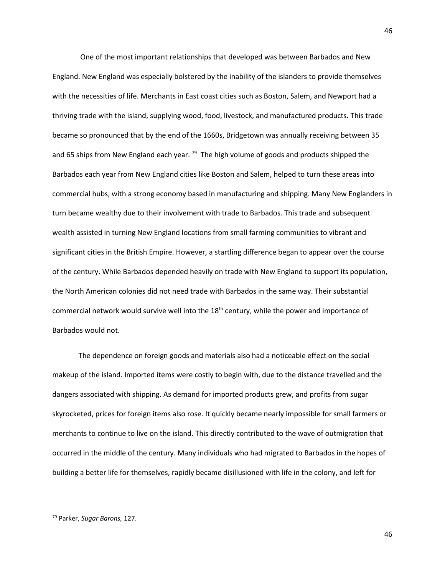One of the most important relationships that developed was between Barbados and New England. New England was especially bolstered by the inability of the islanders to provide themselves with the necessities of life. Merchants in East coast cities such as Boston, Salem, and Newport had a thriving trade with the island, supplying wood, food, livestock, and manufactured products. This trade became so pronounced that by the end of the 1660s, Bridgetown was annually receiving between 35 and 65 ships from New England each year. <sup>79</sup> The high volume of goods and products shipped the Barbados each year from New England cities like Boston and Salem, helped to turn these areas into commercial hubs, with a strong economy based in manufacturing and shipping. Many New Englanders in turn became wealthy due to their involvement with trade to Barbados. This trade and subsequent wealth assisted in turning New England locations from small farming communities to vibrant and significant cities in the British Empire. However, a startling difference began to appear over the course of the century. While Barbados depended heavily on trade with New England to support its population, the North American colonies did not need trade with Barbados in the same way. Their substantial commercial network would survive well into the 18<sup>th</sup> century, while the power and importance of Barbados would not.

The dependence on foreign goods and materials also had a noticeable effect on the social makeup of the island. Imported items were costly to begin with, due to the distance travelled and the dangers associated with shipping. As demand for imported products grew, and profits from sugar skyrocketed, prices for foreign items also rose. It quickly became nearly impossible for small farmers or merchants to continue to live on the island. This directly contributed to the wave of outmigration that occurred in the middle of the century. Many individuals who had migrated to Barbados in the hopes of building a better life for themselves, rapidly became disillusioned with life in the colony, and left for

 $\overline{\phantom{a}}$ 

<sup>79</sup> Parker, *Sugar Barons,* 127.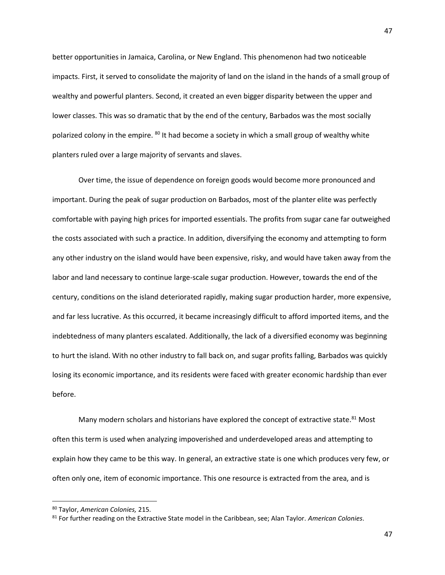better opportunities in Jamaica, Carolina, or New England. This phenomenon had two noticeable impacts. First, it served to consolidate the majority of land on the island in the hands of a small group of wealthy and powerful planters. Second, it created an even bigger disparity between the upper and lower classes. This was so dramatic that by the end of the century, Barbados was the most socially polarized colony in the empire.  $80$  It had become a society in which a small group of wealthy white planters ruled over a large majority of servants and slaves.

Over time, the issue of dependence on foreign goods would become more pronounced and important. During the peak of sugar production on Barbados, most of the planter elite was perfectly comfortable with paying high prices for imported essentials. The profits from sugar cane far outweighed the costs associated with such a practice. In addition, diversifying the economy and attempting to form any other industry on the island would have been expensive, risky, and would have taken away from the labor and land necessary to continue large-scale sugar production. However, towards the end of the century, conditions on the island deteriorated rapidly, making sugar production harder, more expensive, and far less lucrative. As this occurred, it became increasingly difficult to afford imported items, and the indebtedness of many planters escalated. Additionally, the lack of a diversified economy was beginning to hurt the island. With no other industry to fall back on, and sugar profits falling, Barbados was quickly losing its economic importance, and its residents were faced with greater economic hardship than ever before.

Many modern scholars and historians have explored the concept of extractive state. $81$  Most often this term is used when analyzing impoverished and underdeveloped areas and attempting to explain how they came to be this way. In general, an extractive state is one which produces very few, or often only one, item of economic importance. This one resource is extracted from the area, and is

l

<sup>80</sup> Taylor, *American Colonies,* 215.

<sup>81</sup> For further reading on the Extractive State model in the Caribbean, see; Alan Taylor. *American Colonies*.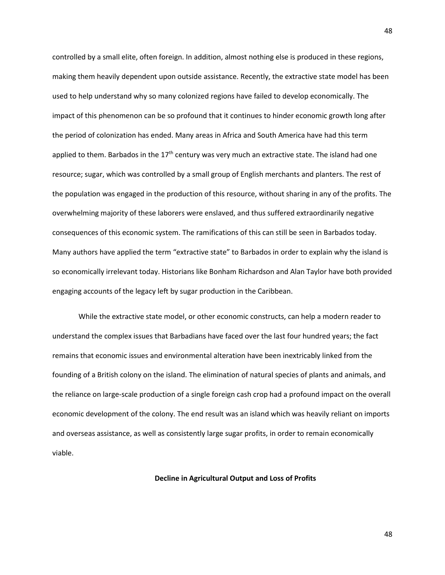controlled by a small elite, often foreign. In addition, almost nothing else is produced in these regions, making them heavily dependent upon outside assistance. Recently, the extractive state model has been used to help understand why so many colonized regions have failed to develop economically. The impact of this phenomenon can be so profound that it continues to hinder economic growth long after the period of colonization has ended. Many areas in Africa and South America have had this term applied to them. Barbados in the  $17<sup>th</sup>$  century was very much an extractive state. The island had one resource; sugar, which was controlled by a small group of English merchants and planters. The rest of the population was engaged in the production of this resource, without sharing in any of the profits. The overwhelming majority of these laborers were enslaved, and thus suffered extraordinarily negative consequences of this economic system. The ramifications of this can still be seen in Barbados today. Many authors have applied the term "extractive state" to Barbados in order to explain why the island is so economically irrelevant today. Historians like Bonham Richardson and Alan Taylor have both provided engaging accounts of the legacy left by sugar production in the Caribbean.

While the extractive state model, or other economic constructs, can help a modern reader to understand the complex issues that Barbadians have faced over the last four hundred years; the fact remains that economic issues and environmental alteration have been inextricably linked from the founding of a British colony on the island. The elimination of natural species of plants and animals, and the reliance on large-scale production of a single foreign cash crop had a profound impact on the overall economic development of the colony. The end result was an island which was heavily reliant on imports and overseas assistance, as well as consistently large sugar profits, in order to remain economically viable.

**Decline in Agricultural Output and Loss of Profits**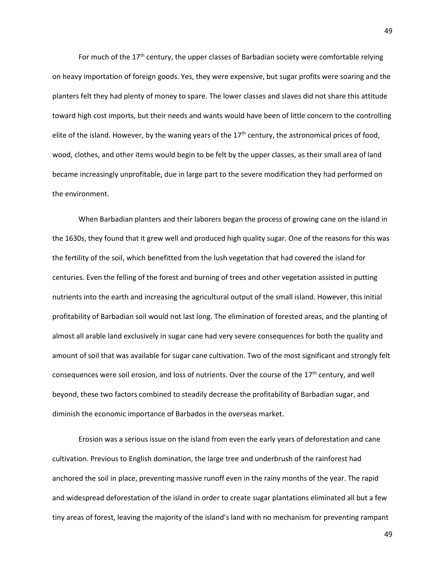For much of the  $17<sup>th</sup>$  century, the upper classes of Barbadian society were comfortable relying on heavy importation of foreign goods. Yes, they were expensive, but sugar profits were soaring and the planters felt they had plenty of money to spare. The lower classes and slaves did not share this attitude toward high cost imports, but their needs and wants would have been of little concern to the controlling elite of the island. However, by the waning years of the  $17<sup>th</sup>$  century, the astronomical prices of food, wood, clothes, and other items would begin to be felt by the upper classes, as their small area of land became increasingly unprofitable, due in large part to the severe modification they had performed on the environment.

When Barbadian planters and their laborers began the process of growing cane on the island in the 1630s, they found that it grew well and produced high quality sugar. One of the reasons for this was the fertility of the soil, which benefitted from the lush vegetation that had covered the island for centuries. Even the felling of the forest and burning of trees and other vegetation assisted in putting nutrients into the earth and increasing the agricultural output of the small island. However, this initial profitability of Barbadian soil would not last long. The elimination of forested areas, and the planting of almost all arable land exclusively in sugar cane had very severe consequences for both the quality and amount of soil that was available for sugar cane cultivation. Two of the most significant and strongly felt consequences were soil erosion, and loss of nutrients. Over the course of the 17<sup>th</sup> century, and well beyond, these two factors combined to steadily decrease the profitability of Barbadian sugar, and diminish the economic importance of Barbados in the overseas market.

Erosion was a serious issue on the island from even the early years of deforestation and cane cultivation. Previous to English domination, the large tree and underbrush of the rainforest had anchored the soil in place, preventing massive runoff even in the rainy months of the year. The rapid and widespread deforestation of the island in order to create sugar plantations eliminated all but a few tiny areas of forest, leaving the majority of the island's land with no mechanism for preventing rampant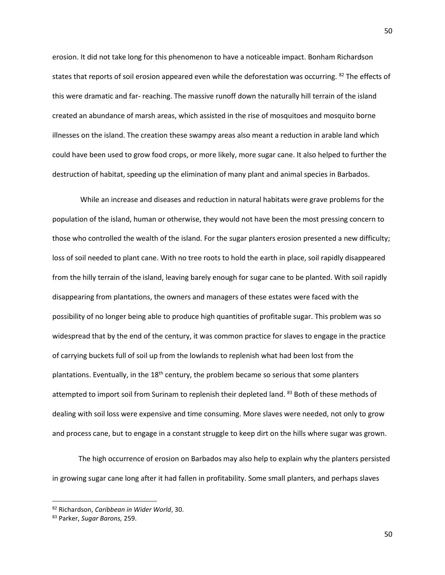erosion. It did not take long for this phenomenon to have a noticeable impact. Bonham Richardson states that reports of soil erosion appeared even while the deforestation was occurring. <sup>82</sup> The effects of this were dramatic and far- reaching. The massive runoff down the naturally hill terrain of the island created an abundance of marsh areas, which assisted in the rise of mosquitoes and mosquito borne illnesses on the island. The creation these swampy areas also meant a reduction in arable land which could have been used to grow food crops, or more likely, more sugar cane. It also helped to further the destruction of habitat, speeding up the elimination of many plant and animal species in Barbados.

While an increase and diseases and reduction in natural habitats were grave problems for the population of the island, human or otherwise, they would not have been the most pressing concern to those who controlled the wealth of the island. For the sugar planters erosion presented a new difficulty; loss of soil needed to plant cane. With no tree roots to hold the earth in place, soil rapidly disappeared from the hilly terrain of the island, leaving barely enough for sugar cane to be planted. With soil rapidly disappearing from plantations, the owners and managers of these estates were faced with the possibility of no longer being able to produce high quantities of profitable sugar. This problem was so widespread that by the end of the century, it was common practice for slaves to engage in the practice of carrying buckets full of soil up from the lowlands to replenish what had been lost from the plantations. Eventually, in the  $18<sup>th</sup>$  century, the problem became so serious that some planters attempted to import soil from Surinam to replenish their depleted land. <sup>83</sup> Both of these methods of dealing with soil loss were expensive and time consuming. More slaves were needed, not only to grow and process cane, but to engage in a constant struggle to keep dirt on the hills where sugar was grown.

The high occurrence of erosion on Barbados may also help to explain why the planters persisted in growing sugar cane long after it had fallen in profitability. Some small planters, and perhaps slaves

<sup>82</sup> Richardson, *Caribbean in Wider World*, 30.

<sup>83</sup> Parker, *Sugar Barons,* 259.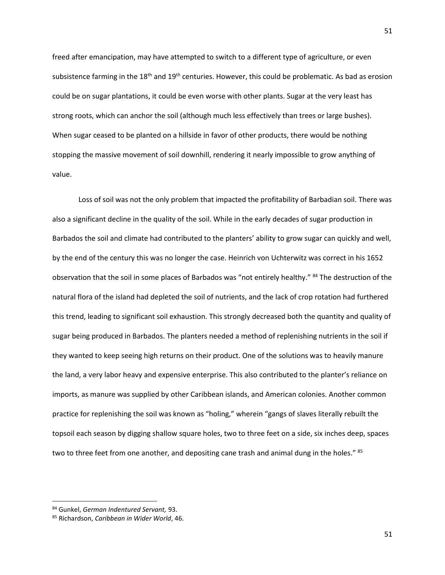freed after emancipation, may have attempted to switch to a different type of agriculture, or even subsistence farming in the 18<sup>th</sup> and 19<sup>th</sup> centuries. However, this could be problematic. As bad as erosion could be on sugar plantations, it could be even worse with other plants. Sugar at the very least has strong roots, which can anchor the soil (although much less effectively than trees or large bushes). When sugar ceased to be planted on a hillside in favor of other products, there would be nothing stopping the massive movement of soil downhill, rendering it nearly impossible to grow anything of value.

Loss of soil was not the only problem that impacted the profitability of Barbadian soil. There was also a significant decline in the quality of the soil. While in the early decades of sugar production in Barbados the soil and climate had contributed to the planters' ability to grow sugar can quickly and well, by the end of the century this was no longer the case. Heinrich von Uchterwitz was correct in his 1652 observation that the soil in some places of Barbados was "not entirely healthy." <sup>84</sup> The destruction of the natural flora of the island had depleted the soil of nutrients, and the lack of crop rotation had furthered this trend, leading to significant soil exhaustion. This strongly decreased both the quantity and quality of sugar being produced in Barbados. The planters needed a method of replenishing nutrients in the soil if they wanted to keep seeing high returns on their product. One of the solutions was to heavily manure the land, a very labor heavy and expensive enterprise. This also contributed to the planter's reliance on imports, as manure was supplied by other Caribbean islands, and American colonies. Another common practice for replenishing the soil was known as "holing," wherein "gangs of slaves literally rebuilt the topsoil each season by digging shallow square holes, two to three feet on a side, six inches deep, spaces two to three feet from one another, and depositing cane trash and animal dung in the holes." 85

l

<sup>84</sup> Gunkel, *German Indentured Servant,* 93.

<sup>85</sup> Richardson, *Caribbean in Wider World*, 46.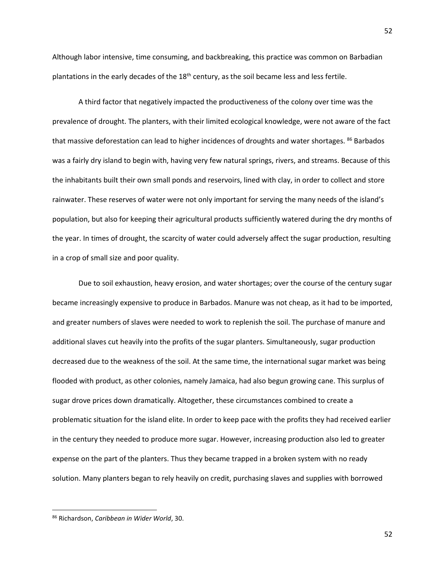Although labor intensive, time consuming, and backbreaking, this practice was common on Barbadian plantations in the early decades of the 18<sup>th</sup> century, as the soil became less and less fertile.

A third factor that negatively impacted the productiveness of the colony over time was the prevalence of drought. The planters, with their limited ecological knowledge, were not aware of the fact that massive deforestation can lead to higher incidences of droughts and water shortages. <sup>86</sup> Barbados was a fairly dry island to begin with, having very few natural springs, rivers, and streams. Because of this the inhabitants built their own small ponds and reservoirs, lined with clay, in order to collect and store rainwater. These reserves of water were not only important for serving the many needs of the island's population, but also for keeping their agricultural products sufficiently watered during the dry months of the year. In times of drought, the scarcity of water could adversely affect the sugar production, resulting in a crop of small size and poor quality.

Due to soil exhaustion, heavy erosion, and water shortages; over the course of the century sugar became increasingly expensive to produce in Barbados. Manure was not cheap, as it had to be imported, and greater numbers of slaves were needed to work to replenish the soil. The purchase of manure and additional slaves cut heavily into the profits of the sugar planters. Simultaneously, sugar production decreased due to the weakness of the soil. At the same time, the international sugar market was being flooded with product, as other colonies, namely Jamaica, had also begun growing cane. This surplus of sugar drove prices down dramatically. Altogether, these circumstances combined to create a problematic situation for the island elite. In order to keep pace with the profits they had received earlier in the century they needed to produce more sugar. However, increasing production also led to greater expense on the part of the planters. Thus they became trapped in a broken system with no ready solution. Many planters began to rely heavily on credit, purchasing slaves and supplies with borrowed

 $\overline{\phantom{a}}$ 

<sup>86</sup> Richardson, *Caribbean in Wider World*, 30.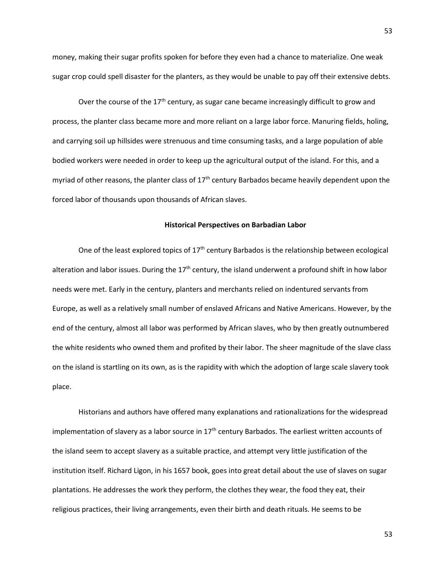money, making their sugar profits spoken for before they even had a chance to materialize. One weak sugar crop could spell disaster for the planters, as they would be unable to pay off their extensive debts.

Over the course of the  $17<sup>th</sup>$  century, as sugar cane became increasingly difficult to grow and process, the planter class became more and more reliant on a large labor force. Manuring fields, holing, and carrying soil up hillsides were strenuous and time consuming tasks, and a large population of able bodied workers were needed in order to keep up the agricultural output of the island. For this, and a myriad of other reasons, the planter class of  $17<sup>th</sup>$  century Barbados became heavily dependent upon the forced labor of thousands upon thousands of African slaves.

#### **Historical Perspectives on Barbadian Labor**

One of the least explored topics of 17<sup>th</sup> century Barbados is the relationship between ecological alteration and labor issues. During the  $17<sup>th</sup>$  century, the island underwent a profound shift in how labor needs were met. Early in the century, planters and merchants relied on indentured servants from Europe, as well as a relatively small number of enslaved Africans and Native Americans. However, by the end of the century, almost all labor was performed by African slaves, who by then greatly outnumbered the white residents who owned them and profited by their labor. The sheer magnitude of the slave class on the island is startling on its own, as is the rapidity with which the adoption of large scale slavery took place.

Historians and authors have offered many explanations and rationalizations for the widespread implementation of slavery as a labor source in  $17<sup>th</sup>$  century Barbados. The earliest written accounts of the island seem to accept slavery as a suitable practice, and attempt very little justification of the institution itself. Richard Ligon, in his 1657 book, goes into great detail about the use of slaves on sugar plantations. He addresses the work they perform, the clothes they wear, the food they eat, their religious practices, their living arrangements, even their birth and death rituals. He seems to be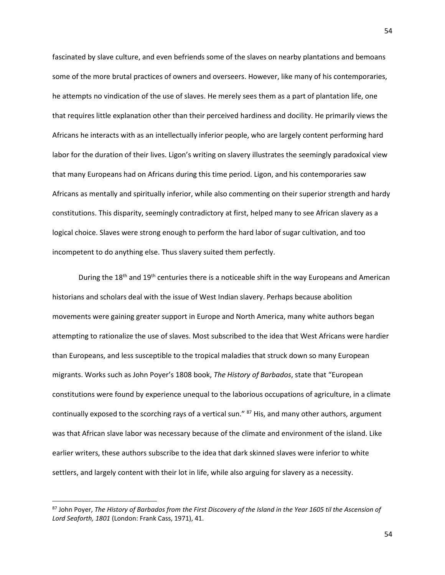fascinated by slave culture, and even befriends some of the slaves on nearby plantations and bemoans some of the more brutal practices of owners and overseers. However, like many of his contemporaries, he attempts no vindication of the use of slaves. He merely sees them as a part of plantation life, one that requires little explanation other than their perceived hardiness and docility. He primarily views the Africans he interacts with as an intellectually inferior people, who are largely content performing hard labor for the duration of their lives. Ligon's writing on slavery illustrates the seemingly paradoxical view that many Europeans had on Africans during this time period. Ligon, and his contemporaries saw Africans as mentally and spiritually inferior, while also commenting on their superior strength and hardy constitutions. This disparity, seemingly contradictory at first, helped many to see African slavery as a logical choice. Slaves were strong enough to perform the hard labor of sugar cultivation, and too incompetent to do anything else. Thus slavery suited them perfectly.

During the 18<sup>th</sup> and 19<sup>th</sup> centuries there is a noticeable shift in the way Europeans and American historians and scholars deal with the issue of West Indian slavery. Perhaps because abolition movements were gaining greater support in Europe and North America, many white authors began attempting to rationalize the use of slaves. Most subscribed to the idea that West Africans were hardier than Europeans, and less susceptible to the tropical maladies that struck down so many European migrants. Works such as John Poyer's 1808 book, *The History of Barbados*, state that "European constitutions were found by experience unequal to the laborious occupations of agriculture, in a climate continually exposed to the scorching rays of a vertical sun." <sup>87</sup> His, and many other authors, argument was that African slave labor was necessary because of the climate and environment of the island. Like earlier writers, these authors subscribe to the idea that dark skinned slaves were inferior to white settlers, and largely content with their lot in life, while also arguing for slavery as a necessity.

<sup>87</sup> John Poyer, *The History of Barbados from the First Discovery of the Island in the Year 1605 til the Ascension of Lord Seaforth, 1801* (London: Frank Cass, 1971), 41.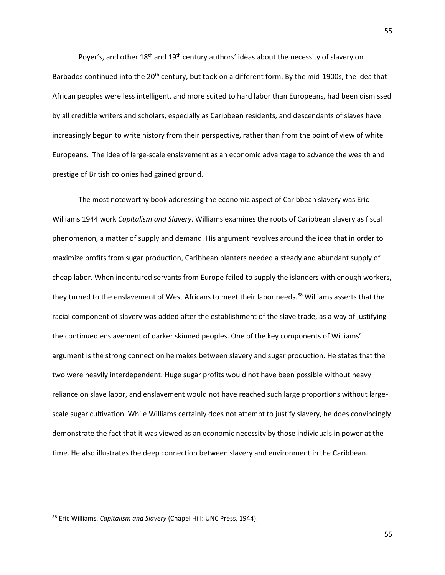Poyer's, and other  $18<sup>th</sup>$  and  $19<sup>th</sup>$  century authors' ideas about the necessity of slavery on Barbados continued into the 20<sup>th</sup> century, but took on a different form. By the mid-1900s, the idea that African peoples were less intelligent, and more suited to hard labor than Europeans, had been dismissed by all credible writers and scholars, especially as Caribbean residents, and descendants of slaves have increasingly begun to write history from their perspective, rather than from the point of view of white Europeans. The idea of large-scale enslavement as an economic advantage to advance the wealth and prestige of British colonies had gained ground.

The most noteworthy book addressing the economic aspect of Caribbean slavery was Eric Williams 1944 work *Capitalism and Slavery*. Williams examines the roots of Caribbean slavery as fiscal phenomenon, a matter of supply and demand. His argument revolves around the idea that in order to maximize profits from sugar production, Caribbean planters needed a steady and abundant supply of cheap labor. When indentured servants from Europe failed to supply the islanders with enough workers, they turned to the enslavement of West Africans to meet their labor needs.<sup>88</sup> Williams asserts that the racial component of slavery was added after the establishment of the slave trade, as a way of justifying the continued enslavement of darker skinned peoples. One of the key components of Williams' argument is the strong connection he makes between slavery and sugar production. He states that the two were heavily interdependent. Huge sugar profits would not have been possible without heavy reliance on slave labor, and enslavement would not have reached such large proportions without largescale sugar cultivation. While Williams certainly does not attempt to justify slavery, he does convincingly demonstrate the fact that it was viewed as an economic necessity by those individuals in power at the time. He also illustrates the deep connection between slavery and environment in the Caribbean.

 $\overline{\phantom{a}}$ 

<sup>88</sup> Eric Williams. *Capitalism and Slavery* (Chapel Hill: UNC Press, 1944).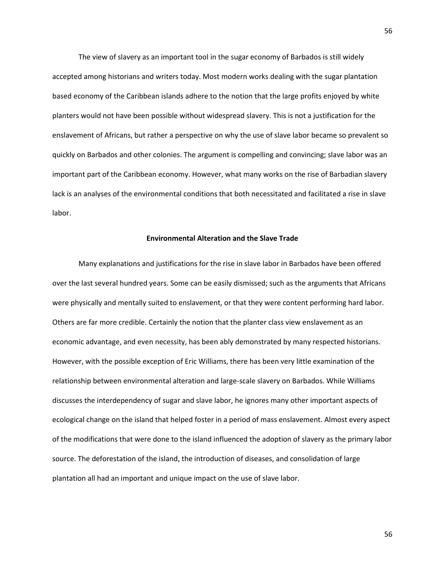The view of slavery as an important tool in the sugar economy of Barbados is still widely accepted among historians and writers today. Most modern works dealing with the sugar plantation based economy of the Caribbean islands adhere to the notion that the large profits enjoyed by white planters would not have been possible without widespread slavery. This is not a justification for the enslavement of Africans, but rather a perspective on why the use of slave labor became so prevalent so quickly on Barbados and other colonies. The argument is compelling and convincing; slave labor was an important part of the Caribbean economy. However, what many works on the rise of Barbadian slavery lack is an analyses of the environmental conditions that both necessitated and facilitated a rise in slave labor.

### **Environmental Alteration and the Slave Trade**

Many explanations and justifications for the rise in slave labor in Barbados have been offered over the last several hundred years. Some can be easily dismissed; such as the arguments that Africans were physically and mentally suited to enslavement, or that they were content performing hard labor. Others are far more credible. Certainly the notion that the planter class view enslavement as an economic advantage, and even necessity, has been ably demonstrated by many respected historians. However, with the possible exception of Eric Williams, there has been very little examination of the relationship between environmental alteration and large-scale slavery on Barbados. While Williams discusses the interdependency of sugar and slave labor, he ignores many other important aspects of ecological change on the island that helped foster in a period of mass enslavement. Almost every aspect of the modifications that were done to the island influenced the adoption of slavery as the primary labor source. The deforestation of the island, the introduction of diseases, and consolidation of large plantation all had an important and unique impact on the use of slave labor.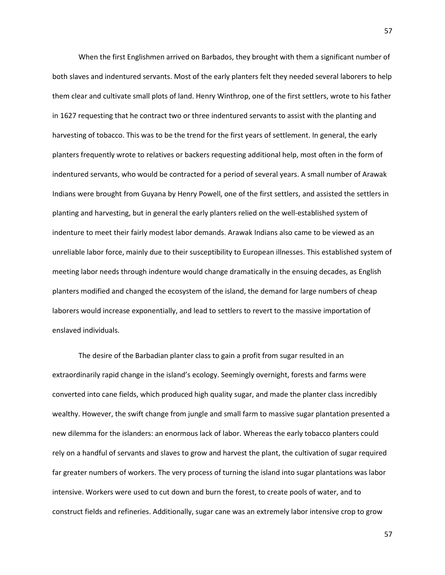When the first Englishmen arrived on Barbados, they brought with them a significant number of both slaves and indentured servants. Most of the early planters felt they needed several laborers to help them clear and cultivate small plots of land. Henry Winthrop, one of the first settlers, wrote to his father in 1627 requesting that he contract two or three indentured servants to assist with the planting and harvesting of tobacco. This was to be the trend for the first years of settlement. In general, the early planters frequently wrote to relatives or backers requesting additional help, most often in the form of indentured servants, who would be contracted for a period of several years. A small number of Arawak Indians were brought from Guyana by Henry Powell, one of the first settlers, and assisted the settlers in planting and harvesting, but in general the early planters relied on the well-established system of indenture to meet their fairly modest labor demands. Arawak Indians also came to be viewed as an unreliable labor force, mainly due to their susceptibility to European illnesses. This established system of meeting labor needs through indenture would change dramatically in the ensuing decades, as English planters modified and changed the ecosystem of the island, the demand for large numbers of cheap laborers would increase exponentially, and lead to settlers to revert to the massive importation of enslaved individuals.

The desire of the Barbadian planter class to gain a profit from sugar resulted in an extraordinarily rapid change in the island's ecology. Seemingly overnight, forests and farms were converted into cane fields, which produced high quality sugar, and made the planter class incredibly wealthy. However, the swift change from jungle and small farm to massive sugar plantation presented a new dilemma for the islanders: an enormous lack of labor. Whereas the early tobacco planters could rely on a handful of servants and slaves to grow and harvest the plant, the cultivation of sugar required far greater numbers of workers. The very process of turning the island into sugar plantations was labor intensive. Workers were used to cut down and burn the forest, to create pools of water, and to construct fields and refineries. Additionally, sugar cane was an extremely labor intensive crop to grow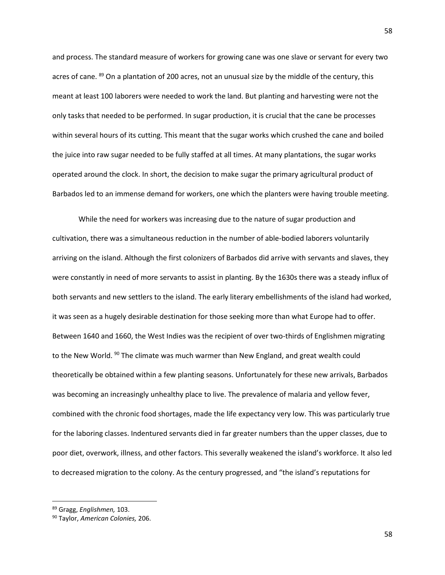and process. The standard measure of workers for growing cane was one slave or servant for every two acres of cane. 89 On a plantation of 200 acres, not an unusual size by the middle of the century, this meant at least 100 laborers were needed to work the land. But planting and harvesting were not the only tasks that needed to be performed. In sugar production, it is crucial that the cane be processes within several hours of its cutting. This meant that the sugar works which crushed the cane and boiled the juice into raw sugar needed to be fully staffed at all times. At many plantations, the sugar works operated around the clock. In short, the decision to make sugar the primary agricultural product of Barbados led to an immense demand for workers, one which the planters were having trouble meeting.

While the need for workers was increasing due to the nature of sugar production and cultivation, there was a simultaneous reduction in the number of able-bodied laborers voluntarily arriving on the island. Although the first colonizers of Barbados did arrive with servants and slaves, they were constantly in need of more servants to assist in planting. By the 1630s there was a steady influx of both servants and new settlers to the island. The early literary embellishments of the island had worked, it was seen as a hugely desirable destination for those seeking more than what Europe had to offer. Between 1640 and 1660, the West Indies was the recipient of over two-thirds of Englishmen migrating to the New World. <sup>90</sup> The climate was much warmer than New England, and great wealth could theoretically be obtained within a few planting seasons. Unfortunately for these new arrivals, Barbados was becoming an increasingly unhealthy place to live. The prevalence of malaria and yellow fever, combined with the chronic food shortages, made the life expectancy very low. This was particularly true for the laboring classes. Indentured servants died in far greater numbers than the upper classes, due to poor diet, overwork, illness, and other factors. This severally weakened the island's workforce. It also led to decreased migration to the colony. As the century progressed, and "the island's reputations for

<sup>89</sup> Gragg, *Englishmen,* 103.

<sup>90</sup> Taylor, *American Colonies,* 206.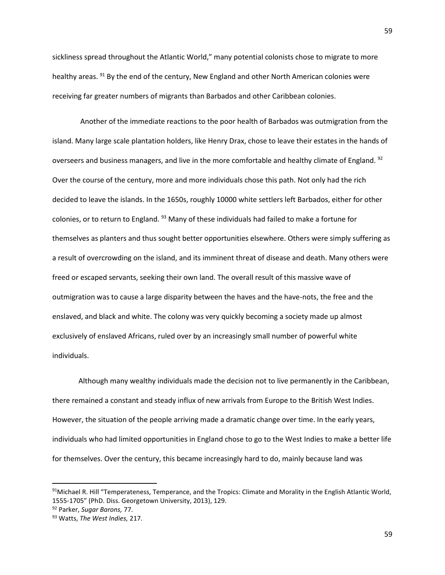sickliness spread throughout the Atlantic World," many potential colonists chose to migrate to more healthy areas. <sup>91</sup> By the end of the century, New England and other North American colonies were receiving far greater numbers of migrants than Barbados and other Caribbean colonies.

 Another of the immediate reactions to the poor health of Barbados was outmigration from the island. Many large scale plantation holders, like Henry Drax, chose to leave their estates in the hands of overseers and business managers, and live in the more comfortable and healthy climate of England. <sup>92</sup> Over the course of the century, more and more individuals chose this path. Not only had the rich decided to leave the islands. In the 1650s, roughly 10000 white settlers left Barbados, either for other colonies, or to return to England.  $93$  Many of these individuals had failed to make a fortune for themselves as planters and thus sought better opportunities elsewhere. Others were simply suffering as a result of overcrowding on the island, and its imminent threat of disease and death. Many others were freed or escaped servants, seeking their own land. The overall result of this massive wave of outmigration was to cause a large disparity between the haves and the have-nots, the free and the enslaved, and black and white. The colony was very quickly becoming a society made up almost exclusively of enslaved Africans, ruled over by an increasingly small number of powerful white individuals.

Although many wealthy individuals made the decision not to live permanently in the Caribbean, there remained a constant and steady influx of new arrivals from Europe to the British West Indies. However, the situation of the people arriving made a dramatic change over time. In the early years, individuals who had limited opportunities in England chose to go to the West Indies to make a better life for themselves. Over the century, this became increasingly hard to do, mainly because land was

 $\overline{a}$ 

 $91$ Michael R. Hill "Temperateness, Temperance, and the Tropics: Climate and Morality in the English Atlantic World, 1555-1705" (PhD. Diss. Georgetown University, 2013), 129.

<sup>92</sup> Parker, *Sugar Barons,* 77.

<sup>93</sup> Watts, *The West Indies,* 217.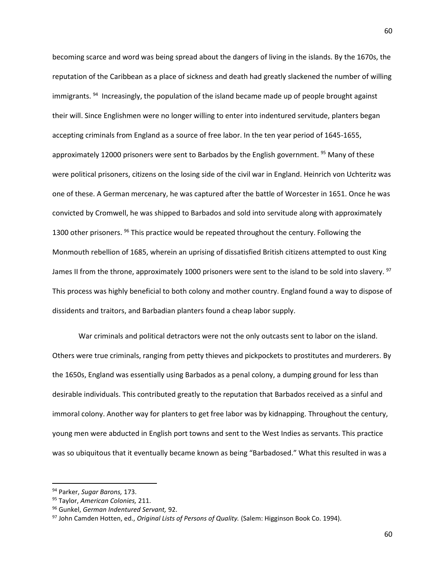becoming scarce and word was being spread about the dangers of living in the islands. By the 1670s, the reputation of the Caribbean as a place of sickness and death had greatly slackened the number of willing immigrants. <sup>94</sup> Increasingly, the population of the island became made up of people brought against their will. Since Englishmen were no longer willing to enter into indentured servitude, planters began accepting criminals from England as a source of free labor. In the ten year period of 1645-1655, approximately 12000 prisoners were sent to Barbados by the English government.  $95$  Many of these were political prisoners, citizens on the losing side of the civil war in England. Heinrich von Uchteritz was one of these. A German mercenary, he was captured after the battle of Worcester in 1651. Once he was convicted by Cromwell, he was shipped to Barbados and sold into servitude along with approximately 1300 other prisoners. <sup>96</sup> This practice would be repeated throughout the century. Following the Monmouth rebellion of 1685, wherein an uprising of dissatisfied British citizens attempted to oust King James II from the throne, approximately 1000 prisoners were sent to the island to be sold into slavery. <sup>97</sup> This process was highly beneficial to both colony and mother country. England found a way to dispose of dissidents and traitors, and Barbadian planters found a cheap labor supply.

War criminals and political detractors were not the only outcasts sent to labor on the island. Others were true criminals, ranging from petty thieves and pickpockets to prostitutes and murderers. By the 1650s, England was essentially using Barbados as a penal colony, a dumping ground for less than desirable individuals. This contributed greatly to the reputation that Barbados received as a sinful and immoral colony. Another way for planters to get free labor was by kidnapping. Throughout the century, young men were abducted in English port towns and sent to the West Indies as servants. This practice was so ubiquitous that it eventually became known as being "Barbadosed." What this resulted in was a

 $\overline{a}$ 

<sup>94</sup> Parker, *Sugar Barons,* 173.

<sup>95</sup> Taylor, *American Colonies,* 211.

<sup>96</sup> Gunkel, *German Indentured Servant,* 92.

<sup>97</sup> John Camden Hotten, ed., *Original Lists of Persons of Quality.* (Salem: Higginson Book Co. 1994).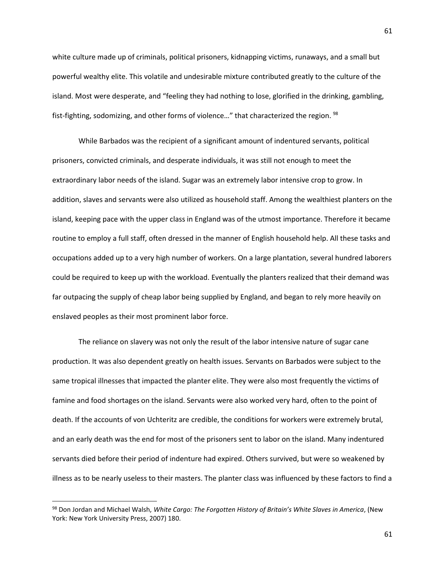white culture made up of criminals, political prisoners, kidnapping victims, runaways, and a small but powerful wealthy elite. This volatile and undesirable mixture contributed greatly to the culture of the island. Most were desperate, and "feeling they had nothing to lose, glorified in the drinking, gambling, fist-fighting, sodomizing, and other forms of violence..." that characterized the region. <sup>98</sup>

While Barbados was the recipient of a significant amount of indentured servants, political prisoners, convicted criminals, and desperate individuals, it was still not enough to meet the extraordinary labor needs of the island. Sugar was an extremely labor intensive crop to grow. In addition, slaves and servants were also utilized as household staff. Among the wealthiest planters on the island, keeping pace with the upper class in England was of the utmost importance. Therefore it became routine to employ a full staff, often dressed in the manner of English household help. All these tasks and occupations added up to a very high number of workers. On a large plantation, several hundred laborers could be required to keep up with the workload. Eventually the planters realized that their demand was far outpacing the supply of cheap labor being supplied by England, and began to rely more heavily on enslaved peoples as their most prominent labor force.

The reliance on slavery was not only the result of the labor intensive nature of sugar cane production. It was also dependent greatly on health issues. Servants on Barbados were subject to the same tropical illnesses that impacted the planter elite. They were also most frequently the victims of famine and food shortages on the island. Servants were also worked very hard, often to the point of death. If the accounts of von Uchteritz are credible, the conditions for workers were extremely brutal, and an early death was the end for most of the prisoners sent to labor on the island. Many indentured servants died before their period of indenture had expired. Others survived, but were so weakened by illness as to be nearly useless to their masters. The planter class was influenced by these factors to find a

<sup>98</sup> Don Jordan and Michael Walsh, *White Cargo: The Forgotten History of Britain's White Slaves in America*, (New York: New York University Press, 2007) 180.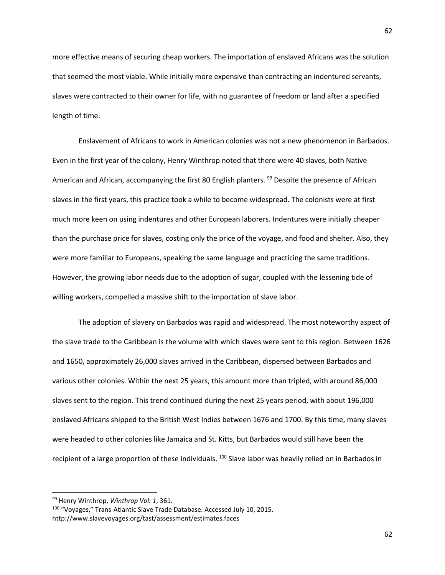more effective means of securing cheap workers. The importation of enslaved Africans was the solution that seemed the most viable. While initially more expensive than contracting an indentured servants, slaves were contracted to their owner for life, with no guarantee of freedom or land after a specified length of time.

Enslavement of Africans to work in American colonies was not a new phenomenon in Barbados. Even in the first year of the colony, Henry Winthrop noted that there were 40 slaves, both Native American and African, accompanying the first 80 English planters. <sup>99</sup> Despite the presence of African slaves in the first years, this practice took a while to become widespread. The colonists were at first much more keen on using indentures and other European laborers. Indentures were initially cheaper than the purchase price for slaves, costing only the price of the voyage, and food and shelter. Also, they were more familiar to Europeans, speaking the same language and practicing the same traditions. However, the growing labor needs due to the adoption of sugar, coupled with the lessening tide of willing workers, compelled a massive shift to the importation of slave labor.

The adoption of slavery on Barbados was rapid and widespread. The most noteworthy aspect of the slave trade to the Caribbean is the volume with which slaves were sent to this region. Between 1626 and 1650, approximately 26,000 slaves arrived in the Caribbean, dispersed between Barbados and various other colonies. Within the next 25 years, this amount more than tripled, with around 86,000 slaves sent to the region. This trend continued during the next 25 years period, with about 196,000 enslaved Africans shipped to the British West Indies between 1676 and 1700. By this time, many slaves were headed to other colonies like Jamaica and St. Kitts, but Barbados would still have been the recipient of a large proportion of these individuals. <sup>100</sup> Slave labor was heavily relied on in Barbados in

 $\overline{\phantom{a}}$ 

<sup>99</sup> Henry Winthrop, *Winthrop Vol. 1*, 361.

<sup>100</sup> "Voyages," Trans-Atlantic Slave Trade Database. Accessed July 10, 2015. http://www.slavevoyages.org/tast/assessment/estimates.faces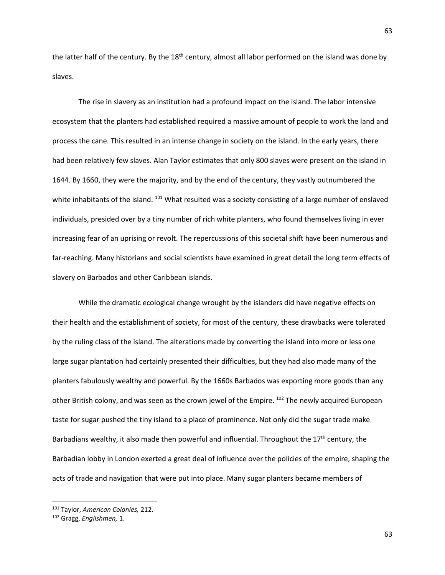the latter half of the century. By the 18<sup>th</sup> century, almost all labor performed on the island was done by slaves.

The rise in slavery as an institution had a profound impact on the island. The labor intensive ecosystem that the planters had established required a massive amount of people to work the land and process the cane. This resulted in an intense change in society on the island. In the early years, there had been relatively few slaves. Alan Taylor estimates that only 800 slaves were present on the island in 1644. By 1660, they were the majority, and by the end of the century, they vastly outnumbered the white inhabitants of the island. <sup>101</sup> What resulted was a society consisting of a large number of enslaved individuals, presided over by a tiny number of rich white planters, who found themselves living in ever increasing fear of an uprising or revolt. The repercussions of this societal shift have been numerous and far-reaching. Many historians and social scientists have examined in great detail the long term effects of slavery on Barbados and other Caribbean islands.

While the dramatic ecological change wrought by the islanders did have negative effects on their health and the establishment of society, for most of the century, these drawbacks were tolerated by the ruling class of the island. The alterations made by converting the island into more or less one large sugar plantation had certainly presented their difficulties, but they had also made many of the planters fabulously wealthy and powerful. By the 1660s Barbados was exporting more goods than any other British colony, and was seen as the crown jewel of the Empire. <sup>102</sup> The newly acquired European taste for sugar pushed the tiny island to a place of prominence. Not only did the sugar trade make Barbadians wealthy, it also made then powerful and influential. Throughout the  $17<sup>th</sup>$  century, the Barbadian lobby in London exerted a great deal of influence over the policies of the empire, shaping the acts of trade and navigation that were put into place. Many sugar planters became members of

<sup>101</sup> Taylor, *American Colonies,* 212.

<sup>102</sup> Gragg, *Englishmen,* 1.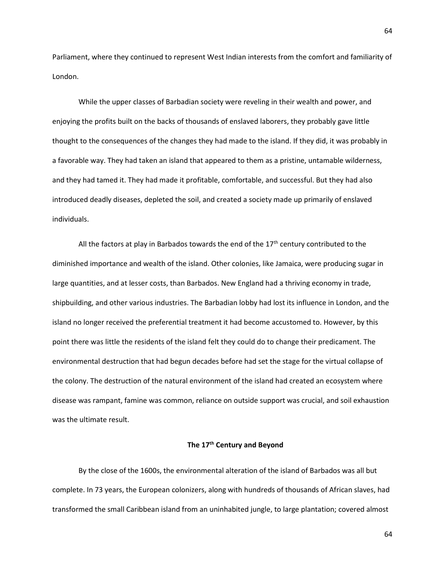Parliament, where they continued to represent West Indian interests from the comfort and familiarity of London.

While the upper classes of Barbadian society were reveling in their wealth and power, and enjoying the profits built on the backs of thousands of enslaved laborers, they probably gave little thought to the consequences of the changes they had made to the island. If they did, it was probably in a favorable way. They had taken an island that appeared to them as a pristine, untamable wilderness, and they had tamed it. They had made it profitable, comfortable, and successful. But they had also introduced deadly diseases, depleted the soil, and created a society made up primarily of enslaved individuals.

All the factors at play in Barbados towards the end of the  $17<sup>th</sup>$  century contributed to the diminished importance and wealth of the island. Other colonies, like Jamaica, were producing sugar in large quantities, and at lesser costs, than Barbados. New England had a thriving economy in trade, shipbuilding, and other various industries. The Barbadian lobby had lost its influence in London, and the island no longer received the preferential treatment it had become accustomed to. However, by this point there was little the residents of the island felt they could do to change their predicament. The environmental destruction that had begun decades before had set the stage for the virtual collapse of the colony. The destruction of the natural environment of the island had created an ecosystem where disease was rampant, famine was common, reliance on outside support was crucial, and soil exhaustion was the ultimate result.

## **The 17th Century and Beyond**

By the close of the 1600s, the environmental alteration of the island of Barbados was all but complete. In 73 years, the European colonizers, along with hundreds of thousands of African slaves, had transformed the small Caribbean island from an uninhabited jungle, to large plantation; covered almost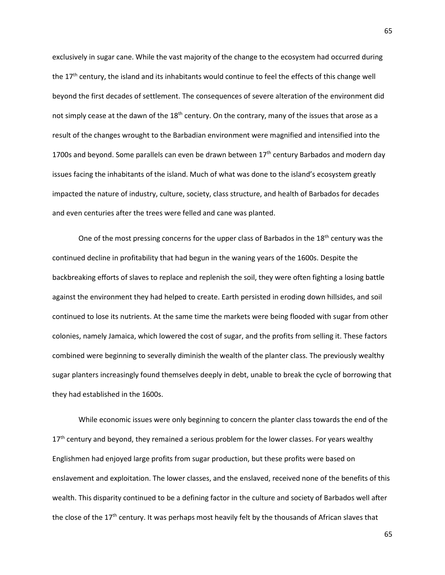exclusively in sugar cane. While the vast majority of the change to the ecosystem had occurred during the 17<sup>th</sup> century, the island and its inhabitants would continue to feel the effects of this change well beyond the first decades of settlement. The consequences of severe alteration of the environment did not simply cease at the dawn of the 18<sup>th</sup> century. On the contrary, many of the issues that arose as a result of the changes wrought to the Barbadian environment were magnified and intensified into the 1700s and beyond. Some parallels can even be drawn between  $17<sup>th</sup>$  century Barbados and modern day issues facing the inhabitants of the island. Much of what was done to the island's ecosystem greatly impacted the nature of industry, culture, society, class structure, and health of Barbados for decades and even centuries after the trees were felled and cane was planted.

One of the most pressing concerns for the upper class of Barbados in the 18<sup>th</sup> century was the continued decline in profitability that had begun in the waning years of the 1600s. Despite the backbreaking efforts of slaves to replace and replenish the soil, they were often fighting a losing battle against the environment they had helped to create. Earth persisted in eroding down hillsides, and soil continued to lose its nutrients. At the same time the markets were being flooded with sugar from other colonies, namely Jamaica, which lowered the cost of sugar, and the profits from selling it. These factors combined were beginning to severally diminish the wealth of the planter class. The previously wealthy sugar planters increasingly found themselves deeply in debt, unable to break the cycle of borrowing that they had established in the 1600s.

While economic issues were only beginning to concern the planter class towards the end of the  $17<sup>th</sup>$  century and beyond, they remained a serious problem for the lower classes. For years wealthy Englishmen had enjoyed large profits from sugar production, but these profits were based on enslavement and exploitation. The lower classes, and the enslaved, received none of the benefits of this wealth. This disparity continued to be a defining factor in the culture and society of Barbados well after the close of the 17<sup>th</sup> century. It was perhaps most heavily felt by the thousands of African slaves that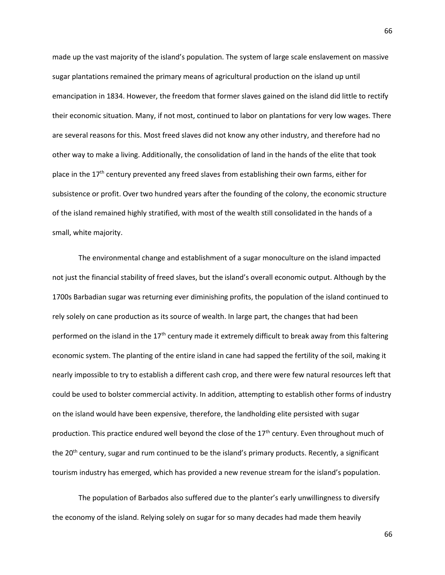made up the vast majority of the island's population. The system of large scale enslavement on massive sugar plantations remained the primary means of agricultural production on the island up until emancipation in 1834. However, the freedom that former slaves gained on the island did little to rectify their economic situation. Many, if not most, continued to labor on plantations for very low wages. There are several reasons for this. Most freed slaves did not know any other industry, and therefore had no other way to make a living. Additionally, the consolidation of land in the hands of the elite that took place in the  $17<sup>th</sup>$  century prevented any freed slaves from establishing their own farms, either for subsistence or profit. Over two hundred years after the founding of the colony, the economic structure of the island remained highly stratified, with most of the wealth still consolidated in the hands of a small, white majority.

The environmental change and establishment of a sugar monoculture on the island impacted not just the financial stability of freed slaves, but the island's overall economic output. Although by the 1700s Barbadian sugar was returning ever diminishing profits, the population of the island continued to rely solely on cane production as its source of wealth. In large part, the changes that had been performed on the island in the  $17<sup>th</sup>$  century made it extremely difficult to break away from this faltering economic system. The planting of the entire island in cane had sapped the fertility of the soil, making it nearly impossible to try to establish a different cash crop, and there were few natural resources left that could be used to bolster commercial activity. In addition, attempting to establish other forms of industry on the island would have been expensive, therefore, the landholding elite persisted with sugar production. This practice endured well beyond the close of the 17<sup>th</sup> century. Even throughout much of the 20<sup>th</sup> century, sugar and rum continued to be the island's primary products. Recently, a significant tourism industry has emerged, which has provided a new revenue stream for the island's population.

The population of Barbados also suffered due to the planter's early unwillingness to diversify the economy of the island. Relying solely on sugar for so many decades had made them heavily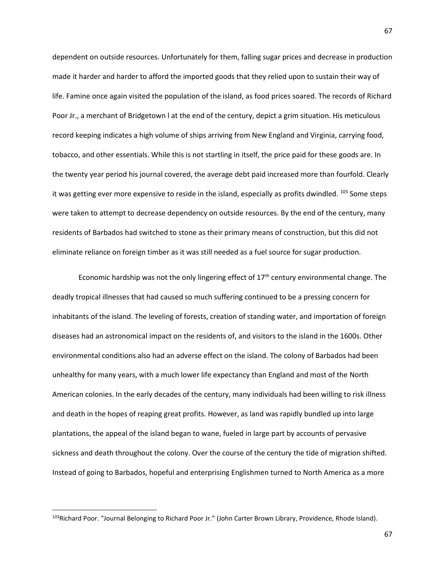dependent on outside resources. Unfortunately for them, falling sugar prices and decrease in production made it harder and harder to afford the imported goods that they relied upon to sustain their way of life. Famine once again visited the population of the island, as food prices soared. The records of Richard Poor Jr., a merchant of Bridgetown l at the end of the century, depict a grim situation. His meticulous record keeping indicates a high volume of ships arriving from New England and Virginia, carrying food, tobacco, and other essentials. While this is not startling in itself, the price paid for these goods are. In the twenty year period his journal covered, the average debt paid increased more than fourfold. Clearly it was getting ever more expensive to reside in the island, especially as profits dwindled.  $^{103}$  Some steps were taken to attempt to decrease dependency on outside resources. By the end of the century, many residents of Barbados had switched to stone as their primary means of construction, but this did not eliminate reliance on foreign timber as it was still needed as a fuel source for sugar production.

Economic hardship was not the only lingering effect of  $17<sup>th</sup>$  century environmental change. The deadly tropical illnesses that had caused so much suffering continued to be a pressing concern for inhabitants of the island. The leveling of forests, creation of standing water, and importation of foreign diseases had an astronomical impact on the residents of, and visitors to the island in the 1600s. Other environmental conditions also had an adverse effect on the island. The colony of Barbados had been unhealthy for many years, with a much lower life expectancy than England and most of the North American colonies. In the early decades of the century, many individuals had been willing to risk illness and death in the hopes of reaping great profits. However, as land was rapidly bundled up into large plantations, the appeal of the island began to wane, fueled in large part by accounts of pervasive sickness and death throughout the colony. Over the course of the century the tide of migration shifted. Instead of going to Barbados, hopeful and enterprising Englishmen turned to North America as a more

 $\overline{\phantom{a}}$ 

<sup>&</sup>lt;sup>103</sup>Richard Poor. "Journal Belonging to Richard Poor Jr." (John Carter Brown Library, Providence, Rhode Island).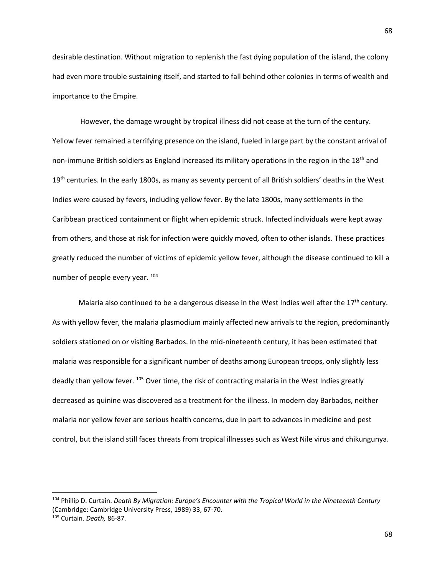desirable destination. Without migration to replenish the fast dying population of the island, the colony had even more trouble sustaining itself, and started to fall behind other colonies in terms of wealth and importance to the Empire.

However, the damage wrought by tropical illness did not cease at the turn of the century. Yellow fever remained a terrifying presence on the island, fueled in large part by the constant arrival of non-immune British soldiers as England increased its military operations in the region in the 18<sup>th</sup> and 19<sup>th</sup> centuries. In the early 1800s, as many as seventy percent of all British soldiers' deaths in the West Indies were caused by fevers, including yellow fever. By the late 1800s, many settlements in the Caribbean practiced containment or flight when epidemic struck. Infected individuals were kept away from others, and those at risk for infection were quickly moved, often to other islands. These practices greatly reduced the number of victims of epidemic yellow fever, although the disease continued to kill a number of people every year. <sup>104</sup>

Malaria also continued to be a dangerous disease in the West Indies well after the  $17<sup>th</sup>$  century. As with yellow fever, the malaria plasmodium mainly affected new arrivals to the region, predominantly soldiers stationed on or visiting Barbados. In the mid-nineteenth century, it has been estimated that malaria was responsible for a significant number of deaths among European troops, only slightly less deadly than yellow fever. 105 Over time, the risk of contracting malaria in the West Indies greatly decreased as quinine was discovered as a treatment for the illness. In modern day Barbados, neither malaria nor yellow fever are serious health concerns, due in part to advances in medicine and pest control, but the island still faces threats from tropical illnesses such as West Nile virus and chikungunya.

 $\overline{\phantom{a}}$ 

<sup>104</sup> Phillip D. Curtain. *Death By Migration: Europe's Encounter with the Tropical World in the Nineteenth Century* (Cambridge: Cambridge University Press, 1989) 33, 67-70. <sup>105</sup> Curtain. *Death,* 86-87.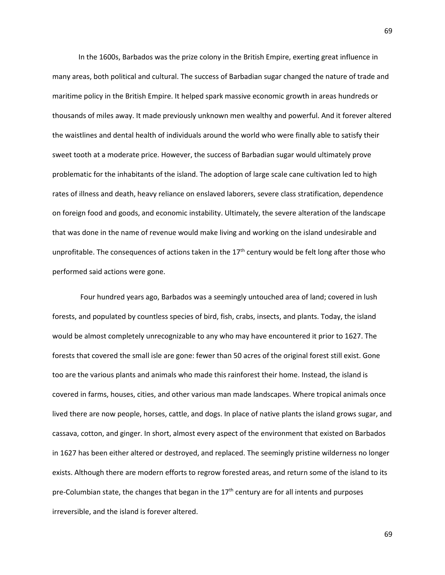In the 1600s, Barbados was the prize colony in the British Empire, exerting great influence in many areas, both political and cultural. The success of Barbadian sugar changed the nature of trade and maritime policy in the British Empire. It helped spark massive economic growth in areas hundreds or thousands of miles away. It made previously unknown men wealthy and powerful. And it forever altered the waistlines and dental health of individuals around the world who were finally able to satisfy their sweet tooth at a moderate price. However, the success of Barbadian sugar would ultimately prove problematic for the inhabitants of the island. The adoption of large scale cane cultivation led to high rates of illness and death, heavy reliance on enslaved laborers, severe class stratification, dependence on foreign food and goods, and economic instability. Ultimately, the severe alteration of the landscape that was done in the name of revenue would make living and working on the island undesirable and unprofitable. The consequences of actions taken in the  $17<sup>th</sup>$  century would be felt long after those who performed said actions were gone.

Four hundred years ago, Barbados was a seemingly untouched area of land; covered in lush forests, and populated by countless species of bird, fish, crabs, insects, and plants. Today, the island would be almost completely unrecognizable to any who may have encountered it prior to 1627. The forests that covered the small isle are gone: fewer than 50 acres of the original forest still exist. Gone too are the various plants and animals who made this rainforest their home. Instead, the island is covered in farms, houses, cities, and other various man made landscapes. Where tropical animals once lived there are now people, horses, cattle, and dogs. In place of native plants the island grows sugar, and cassava, cotton, and ginger. In short, almost every aspect of the environment that existed on Barbados in 1627 has been either altered or destroyed, and replaced. The seemingly pristine wilderness no longer exists. Although there are modern efforts to regrow forested areas, and return some of the island to its pre-Columbian state, the changes that began in the  $17<sup>th</sup>$  century are for all intents and purposes irreversible, and the island is forever altered.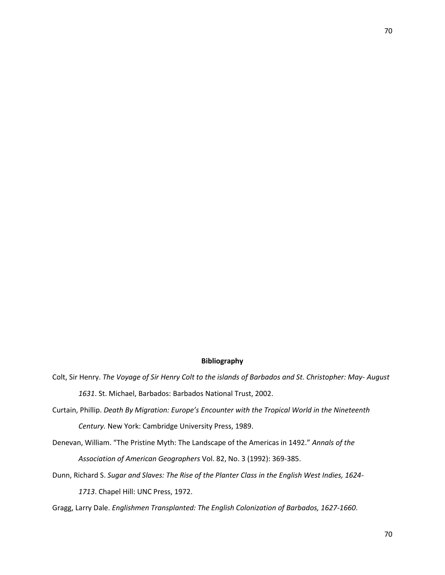# **Bibliography**

- Colt, Sir Henry. *The Voyage of Sir Henry Colt to the islands of Barbados and St. Christopher: May- August 1631*. St. Michael, Barbados: Barbados National Trust, 2002.
- Curtain, Phillip. *Death By Migration: Europe's Encounter with the Tropical World in the Nineteenth Century.* New York: Cambridge University Press, 1989.
- Denevan, William. "The Pristine Myth: The Landscape of the Americas in 1492." *Annals of the Association of American Geographers* Vol. 82, No. 3 (1992): 369-385.
- Dunn, Richard S. *Sugar and Slaves: The Rise of the Planter Class in the English West Indies, 1624- 1713*. Chapel Hill: UNC Press, 1972.
- Gragg, Larry Dale. *Englishmen Transplanted: The English Colonization of Barbados, 1627-1660*.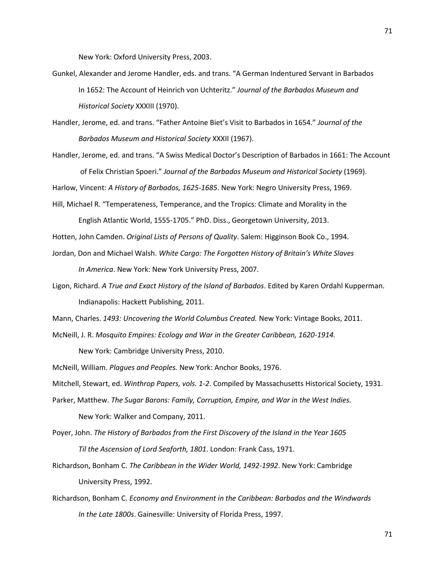New York: Oxford University Press, 2003.

- Gunkel, Alexander and Jerome Handler, eds. and trans. "A German Indentured Servant in Barbados In 1652: The Account of Heinrich von Uchteritz." *Journal of the Barbados Museum and Historical Society* XXXIII (1970).
- Handler, Jerome, ed. and trans. "Father Antoine Biet's Visit to Barbados in 1654." *Journal of the Barbados Museum and Historical Society* XXXII (1967).
- Handler, Jerome, ed. and trans. "A Swiss Medical Doctor's Description of Barbados in 1661: The Account of Felix Christian Spoeri." *Journal of the Barbados Museum and Historical Society* (1969).

Harlow, Vincent: *A History of Barbados, 1625-1685*. New York: Negro University Press, 1969.

Hill, Michael R. "Temperateness, Temperance, and the Tropics: Climate and Morality in the

English Atlantic World, 1555-1705." PhD. Diss., Georgetown University, 2013.

Hotten, John Camden. *Original Lists of Persons of Quality*. Salem: Higginson Book Co., 1994.

- Jordan, Don and Michael Walsh. *White Cargo: The Forgotten History of Britain's White Slaves In America*. New York: New York University Press, 2007.
- Ligon, Richard. *A True and Exact History of the Island of Barbados*. Edited by Karen Ordahl Kupperman. Indianapolis: Hackett Publishing, 2011.

Mann, Charles. *1493: Uncovering the World Columbus Created.* New York: Vintage Books, 2011.

McNeill, J. R. *Mosquito Empires: Ecology and War in the Greater Caribbean, 1620-1914.* 

New York: Cambridge University Press, 2010.

McNeill, William. *Plagues and Peoples.* New York: Anchor Books, 1976.

Mitchell, Stewart, ed. *Winthrop Papers, vols. 1-2*. Compiled by Massachusetts Historical Society, 1931.

- Parker, Matthew. *The Sugar Barons: Family, Corruption, Empire, and War in the West Indies.* New York: Walker and Company, 2011.
- Poyer, John. *The History of Barbados from the First Discovery of the Island in the Year 1605 Til the Ascension of Lord Seaforth, 1801*. London: Frank Cass, 1971.
- Richardson, Bonham C. *The Caribbean in the Wider World, 1492-1992*. New York: Cambridge University Press, 1992.
- Richardson, Bonham C. *Economy and Environment in the Caribbean: Barbados and the Windwards In the Late 1800s*. Gainesville: University of Florida Press, 1997.